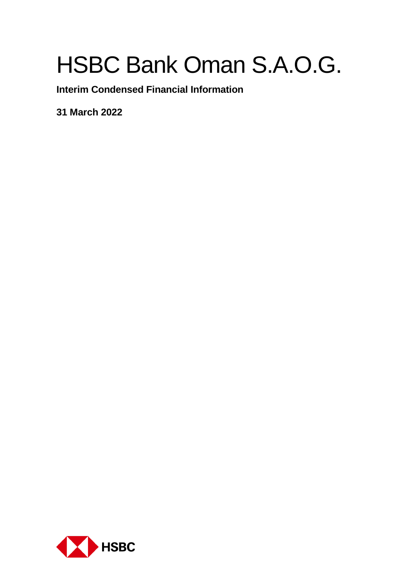**Interim Condensed Financial Information**

**31 March 2022**

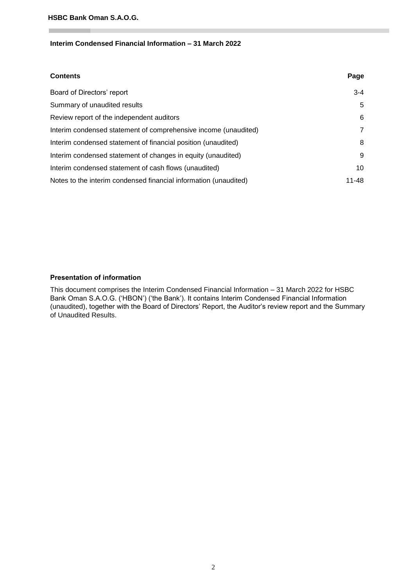# **Interim Condensed Financial Information – 31 March 2022**

| <b>Contents</b>                                                  | Page    |
|------------------------------------------------------------------|---------|
| Board of Directors' report                                       | $3 - 4$ |
| Summary of unaudited results                                     | 5       |
| Review report of the independent auditors                        | 6       |
| Interim condensed statement of comprehensive income (unaudited)  | 7       |
| Interim condensed statement of financial position (unaudited)    | 8       |
| Interim condensed statement of changes in equity (unaudited)     | 9       |
| Interim condensed statement of cash flows (unaudited)            | 10      |
| Notes to the interim condensed financial information (unaudited) | 11-48   |

#### **Presentation of information**

This document comprises the Interim Condensed Financial Information – 31 March 2022 for HSBC Bank Oman S.A.O.G. ('HBON') ('the Bank'). It contains Interim Condensed Financial Information (unaudited), together with the Board of Directors' Report, the Auditor's review report and the Summary of Unaudited Results.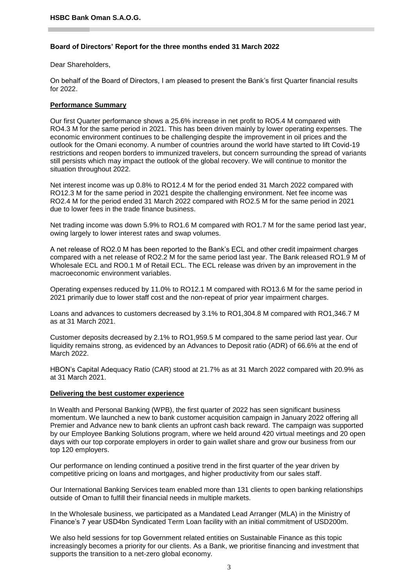#### **Board of Directors' Report for the three months ended 31 March 2022**

Dear Shareholders,

On behalf of the Board of Directors, I am pleased to present the Bank's first Quarter financial results for 2022.

#### **Performance Summary**

Our first Quarter performance shows a 25.6% increase in net profit to RO5.4 M compared with RO4.3 M for the same period in 2021. This has been driven mainly by lower operating expenses. The economic environment continues to be challenging despite the improvement in oil prices and the outlook for the Omani economy. A number of countries around the world have started to lift Covid-19 restrictions and reopen borders to immunized travelers, but concern surrounding the spread of variants still persists which may impact the outlook of the global recovery. We will continue to monitor the situation throughout 2022.

Net interest income was up 0.8% to RO12.4 M for the period ended 31 March 2022 compared with RO12.3 M for the same period in 2021 despite the challenging environment. Net fee income was RO2.4 M for the period ended 31 March 2022 compared with RO2.5 M for the same period in 2021 due to lower fees in the trade finance business.

Net trading income was down 5.9% to RO1.6 M compared with RO1.7 M for the same period last year, owing largely to lower interest rates and swap volumes.

A net release of RO2.0 M has been reported to the Bank's ECL and other credit impairment charges compared with a net release of RO2.2 M for the same period last year. The Bank released RO1.9 M of Wholesale ECL and RO0.1 M of Retail ECL. The ECL release was driven by an improvement in the macroeconomic environment variables.

Operating expenses reduced by 11.0% to RO12.1 M compared with RO13.6 M for the same period in 2021 primarily due to lower staff cost and the non-repeat of prior year impairment charges.

Loans and advances to customers decreased by 3.1% to RO1,304.8 M compared with RO1,346.7 M as at 31 March 2021.

Customer deposits decreased by 2.1% to RO1,959.5 M compared to the same period last year. Our liquidity remains strong, as evidenced by an Advances to Deposit ratio (ADR) of 66.6% at the end of March 2022.

HBON's Capital Adequacy Ratio (CAR) stood at 21.7% as at 31 March 2022 compared with 20.9% as at 31 March 2021.

#### **Delivering the best customer experience**

In Wealth and Personal Banking (WPB), the first quarter of 2022 has seen significant business momentum. We launched a new to bank customer acquisition campaign in January 2022 offering all Premier and Advance new to bank clients an upfront cash back reward. The campaign was supported by our Employee Banking Solutions program, where we held around 420 virtual meetings and 20 open days with our top corporate employers in order to gain wallet share and grow our business from our top 120 employers.

Our performance on lending continued a positive trend in the first quarter of the year driven by competitive pricing on loans and mortgages, and higher productivity from our sales staff.

Our International Banking Services team enabled more than 131 clients to open banking relationships outside of Oman to fulfill their financial needs in multiple markets.

In the Wholesale business, we participated as a Mandated Lead Arranger (MLA) in the Ministry of Finance's 7 year USD4bn Syndicated Term Loan facility with an initial commitment of USD200m.

We also held sessions for top Government related entities on Sustainable Finance as this topic increasingly becomes a priority for our clients. As a Bank, we prioritise financing and investment that supports the transition to a net-zero global economy.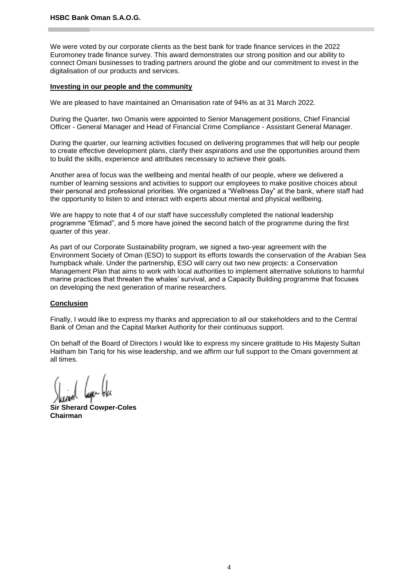We were voted by our corporate clients as the best bank for trade finance services in the 2022 Euromoney trade finance survey. This award demonstrates our strong position and our ability to connect Omani businesses to trading partners around the globe and our commitment to invest in the digitalisation of our products and services.

#### **Investing in our people and the community**

We are pleased to have maintained an Omanisation rate of 94% as at 31 March 2022.

During the Quarter, two Omanis were appointed to Senior Management positions, Chief Financial Officer - General Manager and Head of Financial Crime Compliance - Assistant General Manager.

During the quarter, our learning activities focused on delivering programmes that will help our people to create effective development plans, clarify their aspirations and use the opportunities around them to build the skills, experience and attributes necessary to achieve their goals.

Another area of focus was the wellbeing and mental health of our people, where we delivered a number of learning sessions and activities to support our employees to make positive choices about their personal and professional priorities. We organized a "Wellness Day" at the bank, where staff had the opportunity to listen to and interact with experts about mental and physical wellbeing.

We are happy to note that 4 of our staff have successfully completed the national leadership programme "Etimad", and 5 more have joined the second batch of the programme during the first quarter of this year.

As part of our Corporate Sustainability program, we signed a two-year agreement with the Environment Society of Oman (ESO) to support its efforts towards the conservation of the Arabian Sea humpback whale. Under the partnership, ESO will carry out two new projects: a Conservation Management Plan that aims to work with local authorities to implement alternative solutions to harmful marine practices that threaten the whales' survival, and a Capacity Building programme that focuses on developing the next generation of marine researchers.

#### **Conclusion**

Finally, I would like to express my thanks and appreciation to all our stakeholders and to the Central Bank of Oman and the Capital Market Authority for their continuous support.

On behalf of the Board of Directors I would like to express my sincere gratitude to His Majesty Sultan Haitham bin Tariq for his wise leadership, and we affirm our full support to the Omani government at all times.

**Sir Sherard Cowper-Coles Chairman**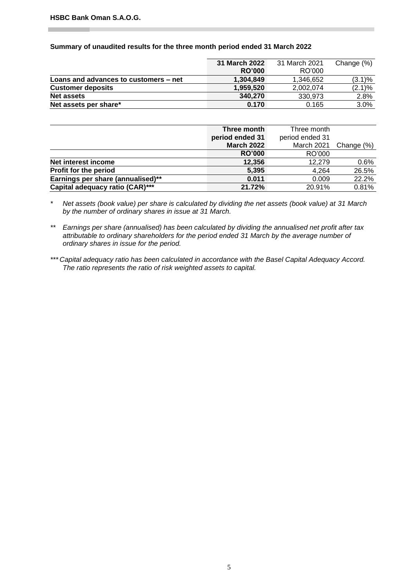#### **Summary of unaudited results for the three month period ended 31 March 2022**

|                                       | 31 March 2022 | 31 March 2021 | Change (%) |
|---------------------------------------|---------------|---------------|------------|
|                                       | <b>RO'000</b> | RO'000        |            |
| Loans and advances to customers – net | 1.304.849     | 1,346,652     | $(3.1)\%$  |
| <b>Customer deposits</b>              | 1.959.520     | 2.002.074     | $(2.1)\%$  |
| <b>Net assets</b>                     | 340,270       | 330.973       | 2.8%       |
| Net assets per share*                 | 0.170         | 0.165         | 3.0%       |

|                                   | Three month       | Three month     |            |
|-----------------------------------|-------------------|-----------------|------------|
|                                   | period ended 31   | period ended 31 |            |
|                                   | <b>March 2022</b> | March 2021      | Change (%) |
|                                   | <b>RO'000</b>     | RO'000          |            |
| Net interest income               | 12,356            | 12.279          | 0.6%       |
| Profit for the period             | 5.395             | 4.264           | 26.5%      |
| Earnings per share (annualised)** | 0.011             | 0.009           | 22.2%      |
| Capital adequacy ratio (CAR)***   | 21.72%            | 20.91%          | 0.81%      |

*\* Net assets (book value) per share is calculated by dividing the net assets (book value) at 31 March by the number of ordinary shares in issue at 31 March.*

- *\*\* Earnings per share (annualised) has been calculated by dividing the annualised net profit after tax attributable to ordinary shareholders for the period ended 31 March by the average number of ordinary shares in issue for the period.*
- *\*\*\* Capital adequacy ratio has been calculated in accordance with the Basel Capital Adequacy Accord. The ratio represents the ratio of risk weighted assets to capital.*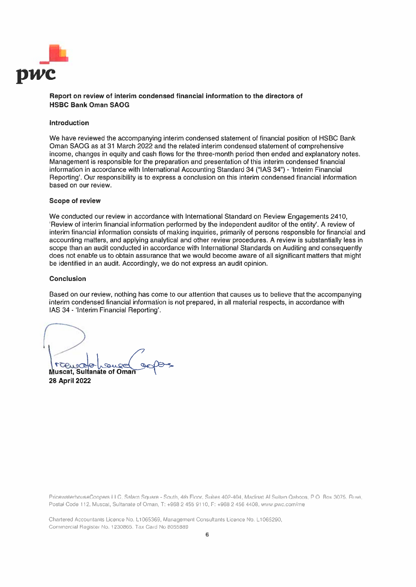

#### Report on review of interim condensed financial information to the directors of **HSBC Bank Oman SAOG**

#### Introduction

We have reviewed the accompanying interim condensed statement of financial position of HSBC Bank Oman SAOG as at 31 March 2022 and the related interim condensed statement of comprehensive income, changes in equity and cash flows for the three-month period then ended and explanatory notes. Management is responsible for the preparation and presentation of this interim condensed financial information in accordance with International Accounting Standard 34 ("IAS 34") - 'Interim Financial Reporting'. Our responsibility is to express a conclusion on this interim condensed financial information based on our review.

#### **Scope of review**

We conducted our review in accordance with International Standard on Review Engagements 2410, 'Review of interim financial information performed by the independent auditor of the entity'. A review of interim financial information consists of making inquiries, primarily of persons responsible for financial and accounting matters, and applying analytical and other review procedures. A review is substantially less in scope than an audit conducted in accordance with International Standards on Auditing and consequently does not enable us to obtain assurance that we would become aware of all significant matters that might be identified in an audit. Accordingly, we do not express an audit opinion.

#### **Conclusion**

Based on our review, nothing has come to our attention that causes us to believe that the accompanying interim condensed financial information is not prepared, in all material respects, in accordance with IAS 34 - 'Interim Financial Reporting'.

TCP Muscat, Sultanate of Oman 28 April 2022

PricewaterhouseCoopers LLC, Salam Square - South, 4th Floor, Suites 402-404, Madinat Al Sultan Qaboos, P.O. Box 3075. Ruwi, Postal Code 112, Muscat, Sultanate of Oman, T: +968 2 455 9110, F: +968 2 456 4408, www.pwc.com/me

Chartered Accountants Licence No. L1065369, Management Consultants Licence No. L1065290, Commercial Register No. 1230865. Tax Card No 8055889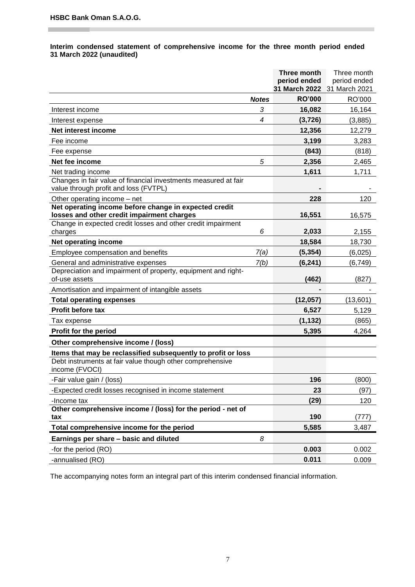#### **Interim condensed statement of comprehensive income for the three month period ended 31 March 2022 (unaudited)**

|                                                                                                          |                | Three month                   | Three month                   |
|----------------------------------------------------------------------------------------------------------|----------------|-------------------------------|-------------------------------|
|                                                                                                          |                | period ended<br>31 March 2022 | period ended<br>31 March 2021 |
|                                                                                                          | <b>Notes</b>   | <b>RO'000</b>                 | RO'000                        |
| Interest income                                                                                          | 3              | 16,082                        | 16,164                        |
| Interest expense                                                                                         | $\overline{4}$ | (3, 726)                      | (3,885)                       |
| Net interest income                                                                                      |                | 12,356                        | 12,279                        |
| Fee income                                                                                               |                | 3,199                         | 3,283                         |
| Fee expense                                                                                              |                | (843)                         | (818)                         |
| Net fee income                                                                                           | 5              | 2,356                         | 2,465                         |
| Net trading income                                                                                       |                | 1,611                         | 1,711                         |
| Changes in fair value of financial investments measured at fair<br>value through profit and loss (FVTPL) |                |                               |                               |
| Other operating income - net                                                                             |                | 228                           | 120                           |
| Net operating income before change in expected credit<br>losses and other credit impairment charges      |                | 16,551                        | 16,575                        |
| Change in expected credit losses and other credit impairment<br>charges                                  | 6              | 2,033                         | 2,155                         |
| Net operating income                                                                                     |                | 18,584                        | 18,730                        |
| Employee compensation and benefits                                                                       | 7(a)           | (5, 354)                      | (6,025)                       |
| General and administrative expenses                                                                      | 7(b)           | (6, 241)                      | (6, 749)                      |
| Depreciation and impairment of property, equipment and right-<br>of-use assets                           |                | (462)                         | (827)                         |
| Amortisation and impairment of intangible assets                                                         |                |                               |                               |
| <b>Total operating expenses</b>                                                                          |                | (12,057)                      | (13,601)                      |
| Profit before tax                                                                                        |                | 6,527                         | 5,129                         |
| Tax expense                                                                                              |                | (1, 132)                      | (865)                         |
| Profit for the period                                                                                    |                | 5,395                         | 4,264                         |
| Other comprehensive income / (loss)                                                                      |                |                               |                               |
| Items that may be reclassified subsequently to profit or loss                                            |                |                               |                               |
| Debt instruments at fair value though other comprehensive<br>income (FVOCI)                              |                |                               |                               |
| -Fair value gain / (loss)                                                                                |                | 196                           | (800)                         |
| -Expected credit losses recognised in income statement                                                   |                | 23                            | (97)                          |
| -Income tax                                                                                              |                | (29)                          | 120                           |
| Other comprehensive income / (loss) for the period - net of<br>tax                                       |                | 190                           | (777)                         |
| Total comprehensive income for the period                                                                |                | 5,585                         | 3,487                         |
| Earnings per share - basic and diluted                                                                   | 8              |                               |                               |
| -for the period (RO)                                                                                     |                | 0.003                         | 0.002                         |
| -annualised (RO)                                                                                         |                | 0.011                         | 0.009                         |
|                                                                                                          |                |                               |                               |

The accompanying notes form an integral part of this interim condensed financial information.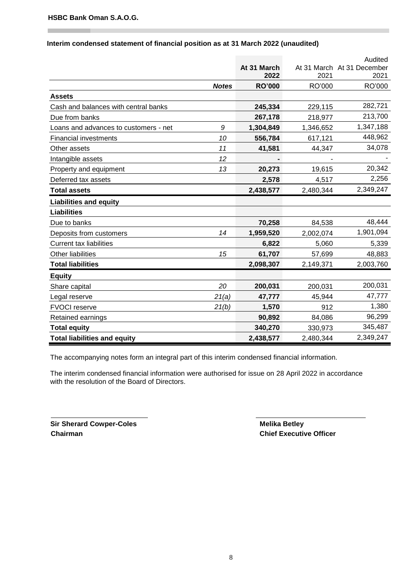|                                            |               |           | Audited                    |
|--------------------------------------------|---------------|-----------|----------------------------|
|                                            | At 31 March   |           | At 31 March At 31 December |
|                                            | 2022          | 2021      | 2021                       |
| <b>Notes</b>                               | <b>RO'000</b> | RO'000    | RO'000                     |
| <b>Assets</b>                              |               |           |                            |
| Cash and balances with central banks       | 245,334       | 229,115   | 282,721                    |
| Due from banks                             | 267,178       | 218,977   | 213,700                    |
| Loans and advances to customers - net<br>9 | 1,304,849     | 1,346,652 | 1,347,188                  |
| 10<br><b>Financial investments</b>         | 556,784       | 617,121   | 448,962                    |
| 11<br>Other assets                         | 41,581        | 44,347    | 34,078                     |
| Intangible assets<br>12                    |               |           |                            |
| 13<br>Property and equipment               | 20,273        | 19,615    | 20,342                     |
| Deferred tax assets                        | 2,578         | 4,517     | 2,256                      |
| <b>Total assets</b>                        | 2,438,577     | 2,480,344 | 2,349,247                  |
| <b>Liabilities and equity</b>              |               |           |                            |
| <b>Liabilities</b>                         |               |           |                            |
| Due to banks                               | 70,258        | 84,538    | 48,444                     |
| 14<br>Deposits from customers              | 1,959,520     | 2,002,074 | 1,901,094                  |
| <b>Current tax liabilities</b>             | 6,822         | 5,060     | 5,339                      |
| <b>Other liabilities</b><br>15             | 61,707        | 57,699    | 48,883                     |
| <b>Total liabilities</b>                   | 2,098,307     | 2,149,371 | 2,003,760                  |
| <b>Equity</b>                              |               |           |                            |
| 20<br>Share capital                        | 200,031       | 200,031   | 200,031                    |
| 21(a)<br>Legal reserve                     | 47,777        | 45,944    | 47,777                     |
| 21(b)<br><b>FVOCI</b> reserve              | 1,570         | 912       | 1,380                      |
| Retained earnings                          | 90,892        | 84,086    | 96,299                     |
| <b>Total equity</b>                        | 340,270       | 330,973   | 345,487                    |
| <b>Total liabilities and equity</b>        | 2,438,577     | 2,480,344 | 2,349,247                  |

# **Interim condensed statement of financial position as at 31 March 2022 (unaudited)**

The accompanying notes form an integral part of this interim condensed financial information.

The interim condensed financial information were authorised for issue on 28 April 2022 in accordance with the resolution of the Board of Directors.

**Sir Sherard Cowper-Coles Melika Betley Chairman Chairman Chief Executive Officer**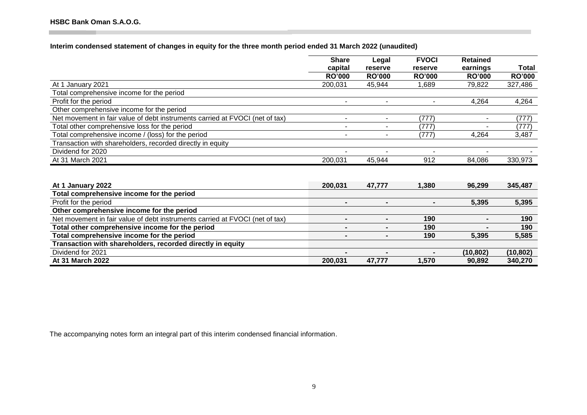**Interim condensed statement of changes in equity for the three month period ended 31 March 2022 (unaudited)**

|                                                                              | <b>Share</b>   | Legal                    | <b>FVOCI</b>  | <b>Retained</b> |               |
|------------------------------------------------------------------------------|----------------|--------------------------|---------------|-----------------|---------------|
|                                                                              | capital        | reserve                  | reserve       | earnings        | Total         |
|                                                                              | <b>RO'000</b>  | <b>RO'000</b>            | <b>RO'000</b> | <b>RO'000</b>   | <b>RO'000</b> |
| At 1 January 2021                                                            | 200,031        | 45,944                   | 1,689         | 79,822          | 327,486       |
| Total comprehensive income for the period                                    |                |                          |               |                 |               |
| Profit for the period                                                        | ۰              | $\overline{\phantom{a}}$ | $\sim$        | 4,264           | 4,264         |
| Other comprehensive income for the period                                    |                |                          |               |                 |               |
| Net movement in fair value of debt instruments carried at FVOCI (net of tax) | ۰              | ٠                        | (777)         |                 | (777)         |
| Total other comprehensive loss for the period                                | ۳              |                          | (777)         |                 | (777)         |
| Total comprehensive income / (loss) for the period                           | ۰              |                          | (777)         | 4,264           | 3,487         |
| Transaction with shareholders, recorded directly in equity                   |                |                          |               |                 |               |
| Dividend for 2020                                                            |                |                          |               |                 |               |
| At 31 March 2021                                                             | 200,031        | 45,944                   | 912           | 84,086          | 330,973       |
|                                                                              |                |                          |               |                 |               |
|                                                                              |                |                          |               |                 |               |
| At 1 January 2022                                                            | 200,031        | 47,777                   | 1,380         | 96,299          | 345,487       |
| Total comprehensive income for the period                                    |                |                          |               |                 |               |
| Profit for the period                                                        |                |                          |               | 5,395           | 5,395         |
| Other comprehensive income for the period                                    |                |                          |               |                 |               |
| Net movement in fair value of debt instruments carried at FVOCI (net of tax) | $\blacksquare$ |                          | 190           | $\blacksquare$  | 190           |
| Total other comprehensive income for the period                              |                |                          | 190           |                 | 190           |
| Total comprehensive income for the period                                    |                |                          | 190           | 5,395           | 5,585         |
| Transaction with shareholders, recorded directly in equity                   |                |                          |               |                 |               |
| Dividend for 2021                                                            |                |                          |               | (10, 802)       | (10, 802)     |
| At 31 March 2022                                                             | 200,031        | 47,777                   | 1,570         | 90,892          | 340,270       |

The accompanying notes form an integral part of this interim condensed financial information.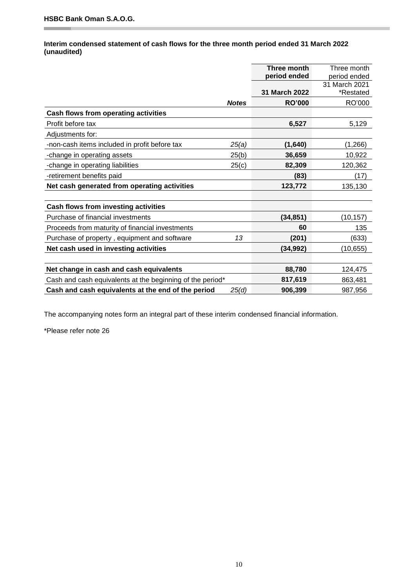۳

# **Interim condensed statement of cash flows for the three month period ended 31 March 2022 (unaudited)**

|                                                           |              | Three month   | Three month   |
|-----------------------------------------------------------|--------------|---------------|---------------|
|                                                           |              | period ended  | period ended  |
|                                                           |              |               | 31 March 2021 |
|                                                           |              | 31 March 2022 | *Restated     |
|                                                           | <b>Notes</b> | <b>RO'000</b> | RO'000        |
| <b>Cash flows from operating activities</b>               |              |               |               |
| Profit before tax                                         |              | 6,527         | 5,129         |
| Adjustments for:                                          |              |               |               |
| -non-cash items included in profit before tax             | 25(a)        | (1,640)       | (1,266)       |
| -change in operating assets                               | 25(b)        | 36,659        | 10,922        |
| -change in operating liabilities                          | 25(c)        | 82,309        | 120,362       |
| -retirement benefits paid                                 |              | (83)          | (17)          |
| Net cash generated from operating activities              |              | 123,772       | 135,130       |
|                                                           |              |               |               |
| Cash flows from investing activities                      |              |               |               |
| Purchase of financial investments                         |              | (34, 851)     | (10, 157)     |
| Proceeds from maturity of financial investments           |              | 60            | 135           |
| Purchase of property, equipment and software              | 13           | (201)         | (633)         |
| Net cash used in investing activities                     |              | (34, 992)     | (10, 655)     |
|                                                           |              |               |               |
| Net change in cash and cash equivalents                   |              | 88,780        | 124,475       |
| Cash and cash equivalents at the beginning of the period* |              | 817,619       | 863,481       |
| Cash and cash equivalents at the end of the period        | 25(d)        | 906,399       | 987,956       |

The accompanying notes form an integral part of these interim condensed financial information.

\*Please refer note 26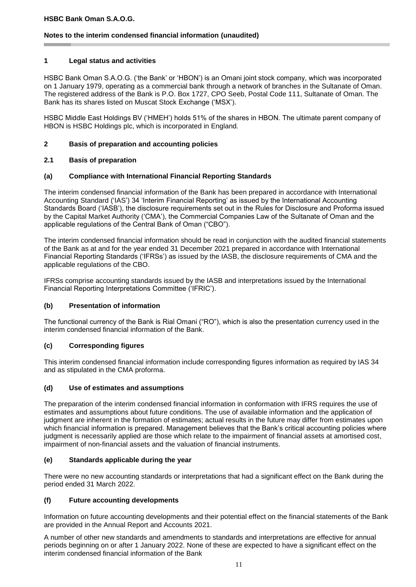# **Notes to the interim condensed financial information (unaudited)**

## **1 Legal status and activities**

HSBC Bank Oman S.A.O.G. ('the Bank' or 'HBON') is an Omani joint stock company, which was incorporated on 1 January 1979, operating as a commercial bank through a network of branches in the Sultanate of Oman. The registered address of the Bank is P.O. Box 1727, CPO Seeb, Postal Code 111, Sultanate of Oman. The Bank has its shares listed on Muscat Stock Exchange ('MSX').

HSBC Middle East Holdings BV ('HMEH') holds 51% of the shares in HBON. The ultimate parent company of HBON is HSBC Holdings plc, which is incorporated in England.

## **2 Basis of preparation and accounting policies**

# **2.1 Basis of preparation**

#### **(a) Compliance with International Financial Reporting Standards**

The interim condensed financial information of the Bank has been prepared in accordance with International Accounting Standard ('IAS') 34 'Interim Financial Reporting' as issued by the International Accounting Standards Board ('IASB'), the disclosure requirements set out in the Rules for Disclosure and Proforma issued by the Capital Market Authority ('CMA'), the Commercial Companies Law of the Sultanate of Oman and the applicable regulations of the Central Bank of Oman ("CBO").

The interim condensed financial information should be read in conjunction with the audited financial statements of the Bank as at and for the year ended 31 December 2021 prepared in accordance with International Financial Reporting Standards ('IFRSs') as issued by the IASB, the disclosure requirements of CMA and the applicable regulations of the CBO.

IFRSs comprise accounting standards issued by the IASB and interpretations issued by the International Financial Reporting Interpretations Committee ('IFRIC').

#### **(b) Presentation of information**

The functional currency of the Bank is Rial Omani ("RO"), which is also the presentation currency used in the interim condensed financial information of the Bank.

# **(c) Corresponding figures**

This interim condensed financial information include corresponding figures information as required by IAS 34 and as stipulated in the CMA proforma.

#### **(d) Use of estimates and assumptions**

The preparation of the interim condensed financial information in conformation with IFRS requires the use of estimates and assumptions about future conditions. The use of available information and the application of judgment are inherent in the formation of estimates; actual results in the future may differ from estimates upon which financial information is prepared. Management believes that the Bank's critical accounting policies where judgment is necessarily applied are those which relate to the impairment of financial assets at amortised cost, impairment of non-financial assets and the valuation of financial instruments.

#### **(e) Standards applicable during the year**

There were no new accounting standards or interpretations that had a significant effect on the Bank during the period ended 31 March 2022.

# **(f) Future accounting developments**

Information on future accounting developments and their potential effect on the financial statements of the Bank are provided in the Annual Report and Accounts 2021.

A number of other new standards and amendments to standards and interpretations are effective for annual periods beginning on or after 1 January 2022. None of these are expected to have a significant effect on the interim condensed financial information of the Bank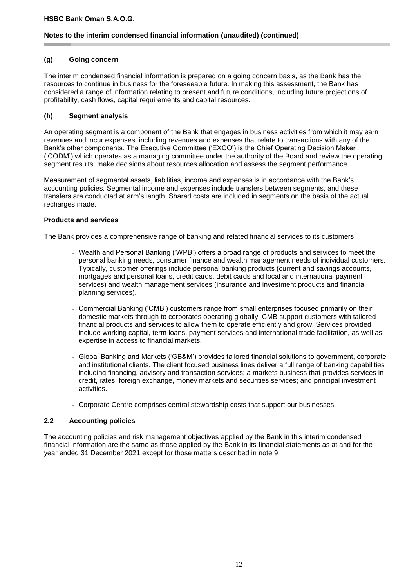# **Notes to the interim condensed financial information (unaudited) (continued)**

#### **(g) Going concern**

The interim condensed financial information is prepared on a going concern basis, as the Bank has the resources to continue in business for the foreseeable future. In making this assessment, the Bank has considered a range of information relating to present and future conditions, including future projections of profitability, cash flows, capital requirements and capital resources.

# **(h) Segment analysis**

An operating segment is a component of the Bank that engages in business activities from which it may earn revenues and incur expenses, including revenues and expenses that relate to transactions with any of the Bank's other components. The Executive Committee ('EXCO') is the Chief Operating Decision Maker ('CODM') which operates as a managing committee under the authority of the Board and review the operating segment results, make decisions about resources allocation and assess the segment performance.

Measurement of segmental assets, liabilities, income and expenses is in accordance with the Bank's accounting policies. Segmental income and expenses include transfers between segments, and these transfers are conducted at arm's length. Shared costs are included in segments on the basis of the actual recharges made.

# **Products and services**

The Bank provides a comprehensive range of banking and related financial services to its customers.

- Wealth and Personal Banking ('WPB') offers a broad range of products and services to meet the personal banking needs, consumer finance and wealth management needs of individual customers. Typically, customer offerings include personal banking products (current and savings accounts, mortgages and personal loans, credit cards, debit cards and local and international payment services) and wealth management services (insurance and investment products and financial planning services).
- Commercial Banking ('CMB') customers range from small enterprises focused primarily on their domestic markets through to corporates operating globally. CMB support customers with tailored financial products and services to allow them to operate efficiently and grow. Services provided include working capital, term loans, payment services and international trade facilitation, as well as expertise in access to financial markets.
- Global Banking and Markets ('GB&M') provides tailored financial solutions to government, corporate and institutional clients. The client focused business lines deliver a full range of banking capabilities including financing, advisory and transaction services; a markets business that provides services in credit, rates, foreign exchange, money markets and securities services; and principal investment activities.
- Corporate Centre comprises central stewardship costs that support our businesses.

# **2.2 Accounting policies**

The accounting policies and risk management objectives applied by the Bank in this interim condensed financial information are the same as those applied by the Bank in its financial statements as at and for the year ended 31 December 2021 except for those matters described in note 9.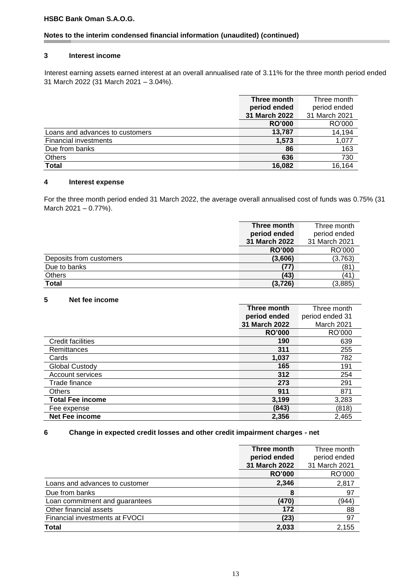# **Notes to the interim condensed financial information (unaudited) (continued)**

#### **3 Interest income**

Interest earning assets earned interest at an overall annualised rate of 3.11% for the three month period ended 31 March 2022 (31 March 2021 – 3.04%).

|                                 | Three month   | Three month   |
|---------------------------------|---------------|---------------|
|                                 | period ended  | period ended  |
|                                 | 31 March 2022 | 31 March 2021 |
|                                 | <b>RO'000</b> | RO'000        |
| Loans and advances to customers | 13,787        | 14,194        |
| <b>Financial investments</b>    | 1,573         | 1,077         |
| Due from banks                  | 86            | 163           |
| <b>Others</b>                   | 636           | 730           |
| <b>Total</b>                    | 16,082        | 16,164        |

#### **4 Interest expense**

For the three month period ended 31 March 2022, the average overall annualised cost of funds was 0.75% (31 March 2021 – 0.77%).

|                         | Three month   | Three month   |
|-------------------------|---------------|---------------|
|                         | period ended  | period ended  |
|                         | 31 March 2022 | 31 March 2021 |
|                         | <b>RO'000</b> | RO'000        |
| Deposits from customers | (3,606)       | (3,763)       |
| Due to banks            | 77)           | (81)          |
| Others                  | (43)          | (41)          |
| Total                   | (3, 726)      | (3,885)       |

#### **5 Net fee income**

|                          | Three month   | Three month     |
|--------------------------|---------------|-----------------|
|                          | period ended  | period ended 31 |
|                          | 31 March 2022 | March 2021      |
|                          | <b>RO'000</b> | RO'000          |
| <b>Credit facilities</b> | 190           | 639             |
| Remittances              | 311           | 255             |
| Cards                    | 1,037         | 782             |
| Global Custody           | 165           | 191             |
| Account services         | 312           | 254             |
| Trade finance            | 273           | 291             |
| <b>Others</b>            | 911           | 871             |
| <b>Total Fee income</b>  | 3,199         | 3,283           |
| Fee expense              | (843)         | (818)           |
| Net Fee income           | 2,356         | 2,465           |

# **6 Change in expected credit losses and other credit impairment charges - net**

|                                | Three month<br>period ended<br>31 March 2022 | Three month<br>period ended<br>31 March 2021 |
|--------------------------------|----------------------------------------------|----------------------------------------------|
|                                | <b>RO'000</b>                                | RO'000                                       |
| Loans and advances to customer | 2,346                                        | 2,817                                        |
| Due from banks                 | 8                                            | 97                                           |
| Loan commitment and guarantees | (470)                                        | (944)                                        |
| Other financial assets         | 172                                          | 88                                           |
| Financial investments at FVOCI | (23)                                         | 97                                           |
| <b>Total</b>                   | 2,033                                        | 2,155                                        |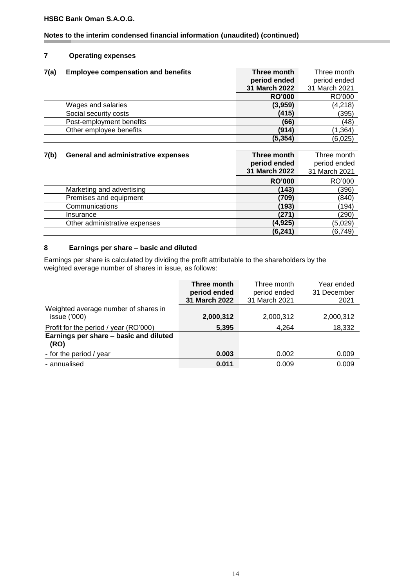# **Notes to the interim condensed financial information (unaudited) (continued)**

# **7 Operating expenses**

| 7(a) | <b>Employee compensation and benefits</b> | Three month   | Three month   |  |  |
|------|-------------------------------------------|---------------|---------------|--|--|
|      |                                           | period ended  | period ended  |  |  |
|      |                                           | 31 March 2022 | 31 March 2021 |  |  |
|      |                                           | <b>RO'000</b> | RO'000        |  |  |
|      | Wages and salaries                        | (3,959)       | (4,218)       |  |  |
|      | Social security costs                     | (415)         | (395)         |  |  |
|      | Post-employment benefits                  | (66)          | (48)          |  |  |
|      | Other employee benefits                   | (914)         | (1, 364)      |  |  |
|      |                                           | (5, 354)      | (6,025)       |  |  |

| 7(b) | <b>General and administrative expenses</b> | Three month   | Three month   |
|------|--------------------------------------------|---------------|---------------|
|      |                                            | period ended  | period ended  |
|      |                                            | 31 March 2022 | 31 March 2021 |
|      |                                            | <b>RO'000</b> | RO'000        |
|      | Marketing and advertising                  | (143)         | (396)         |
|      | Premises and equipment                     | (709)         | (840)         |
|      | Communications                             | (193)         | (194)         |
|      | Insurance                                  | (271`         | (290)         |
|      | Other administrative expenses              | (4,925)       | (5,029)       |
|      |                                            | (6, 241)      | (6, 749)      |

## **8 Earnings per share – basic and diluted**

Earnings per share is calculated by dividing the profit attributable to the shareholders by the weighted average number of shares in issue, as follows:

|                                                | Three month   | Three month   | Year ended  |
|------------------------------------------------|---------------|---------------|-------------|
|                                                | period ended  | period ended  | 31 December |
|                                                | 31 March 2022 | 31 March 2021 | 2021        |
| Weighted average number of shares in           |               |               |             |
| issue $(000)$                                  | 2,000,312     | 2,000,312     | 2,000,312   |
| Profit for the period / year (RO'000)          | 5,395         | 4.264         | 18,332      |
| Earnings per share - basic and diluted<br>(RO) |               |               |             |
| - for the period / year                        | 0.003         | 0.002         | 0.009       |
| - annualised                                   | 0.011         | 0.009         | 0.009       |
|                                                |               |               |             |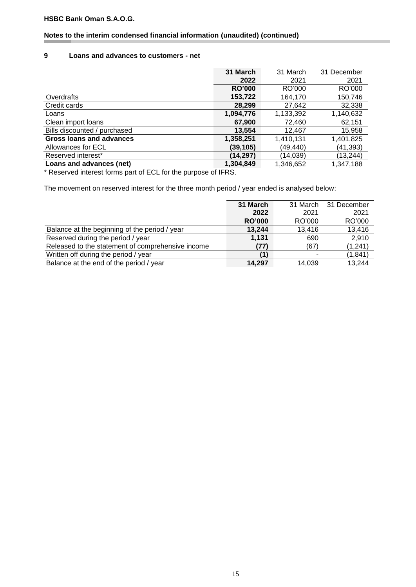# **Notes to the interim condensed financial information (unaudited) (continued)**

#### **9 Loans and advances to customers - net**

|                                 | 31 March      | 31 March  | 31 December |
|---------------------------------|---------------|-----------|-------------|
|                                 | 2022          | 2021      | 2021        |
|                                 | <b>RO'000</b> | RO'000    | RO'000      |
| Overdrafts                      | 153,722       | 164,170   | 150,746     |
| Credit cards                    | 28,299        | 27,642    | 32,338      |
| Loans                           | 1,094,776     | 1,133,392 | 1,140,632   |
| Clean import loans              | 67,900        | 72,460    | 62,151      |
| Bills discounted / purchased    | 13,554        | 12,467    | 15,958      |
| <b>Gross loans and advances</b> | 1,358,251     | 1,410,131 | 1,401,825   |
| Allowances for ECL              | (39, 105)     | (49,440)  | (41,393)    |
| Reserved interest*              | (14,297)      | (14,039)  | (13,244)    |
| Loans and advances (net)        | 1,304,849     | 1,346,652 | 1,347,188   |

\* Reserved interest forms part of ECL for the purpose of IFRS.

The movement on reserved interest for the three month period / year ended is analysed below:

|                                                   | 31 March      | 31 March | 31 December |
|---------------------------------------------------|---------------|----------|-------------|
|                                                   | 2022          | 2021     | 2021        |
|                                                   | <b>RO'000</b> | RO'000   | RO'000      |
| Balance at the beginning of the period / year     | 13.244        | 13.416   | 13,416      |
| Reserved during the period / year                 | 1.131         | 690      | 2,910       |
| Released to the statement of comprehensive income | (77)          | (67)     | (1, 241)    |
| Written off during the period / year              |               |          | (1, 841)    |
| Balance at the end of the period / year           | 14.297        | 14,039   | 13,244      |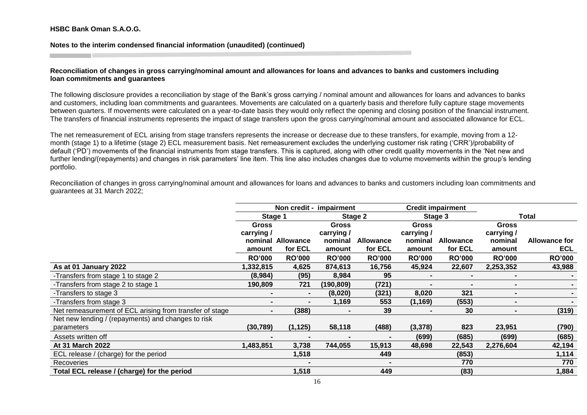**Notes to the interim condensed financial information (unaudited) (continued)**

#### **Reconciliation of changes in gross carrying/nominal amount and allowances for loans and advances to banks and customers including loan commitments and guarantees**

The following disclosure provides a reconciliation by stage of the Bank's gross carrying / nominal amount and allowances for loans and advances to banks and customers, including loan commitments and guarantees. Movements are calculated on a quarterly basis and therefore fully capture stage movements between quarters. If movements were calculated on a year-to-date basis they would only reflect the opening and closing position of the financial instrument. The transfers of financial instruments represents the impact of stage transfers upon the gross carrying/nominal amount and associated allowance for ECL.

The net remeasurement of ECL arising from stage transfers represents the increase or decrease due to these transfers, for example, moving from a 12 month (stage 1) to a lifetime (stage 2) ECL measurement basis. Net remeasurement excludes the underlying customer risk rating ('CRR')/probability of default ('PD') movements of the financial instruments from stage transfers. This is captured, along with other credit quality movements in the 'Net new and further lending/(repayments) and changes in risk parameters' line item. This line also includes changes due to volume movements within the group's lending portfolio.

Reconciliation of changes in gross carrying/nominal amount and allowances for loans and advances to banks and customers including loan commitments and guarantees at 31 March 2022;

|                                                         |                | Non credit - impairment |               |                  |               | <b>Credit impairment</b> |               |                      |
|---------------------------------------------------------|----------------|-------------------------|---------------|------------------|---------------|--------------------------|---------------|----------------------|
|                                                         |                | Stage 1                 |               | Stage 2          |               | Stage 3                  |               | Total                |
|                                                         | <b>Gross</b>   |                         | <b>Gross</b>  |                  | <b>Gross</b>  |                          | <b>Gross</b>  |                      |
|                                                         | carrying /     |                         | carrying /    |                  | carrying /    |                          | carrying /    |                      |
|                                                         |                | nominal Allowance       | nominal       | <b>Allowance</b> | nominal       | <b>Allowance</b>         | nominal       | <b>Allowance for</b> |
|                                                         | amount         | for ECL                 | amount        | for ECL          | amount        | for ECL                  | amount        | <b>ECL</b>           |
|                                                         | <b>RO'000</b>  | <b>RO'000</b>           | <b>RO'000</b> | <b>RO'000</b>    | <b>RO'000</b> | <b>RO'000</b>            | <b>RO'000</b> | <b>RO'000</b>        |
| As at 01 January 2022                                   | 1,332,815      | 4,625                   | 874,613       | 16,756           | 45,924        | 22,607                   | 2,253,352     | 43,988               |
| -Transfers from stage 1 to stage 2                      | (8,984)        | (95)                    | 8,984         | 95               | -             |                          | ۰             |                      |
| -Transfers from stage 2 to stage 1                      | 190,809        | 721                     | (190, 809)    | (721)            |               |                          |               |                      |
| -Transfers to stage 3                                   |                | $\blacksquare$          | (8,020)       | (321)            | 8,020         | 321                      | ۰             |                      |
| -Transfers from stage 3                                 | $\blacksquare$ |                         | 1,169         | 553              | (1, 169)      | (553)                    | -             |                      |
| Net remeasurement of ECL arising from transfer of stage | $\blacksquare$ | (388)                   |               | 39               |               | 30                       | -             | (319)                |
| Net new lending / (repayments) and changes to risk      |                |                         |               |                  |               |                          |               |                      |
| parameters                                              | (30, 789)      | (1, 125)                | 58,118        | (488)            | (3,378)       | 823                      | 23,951        | (790)                |
| Assets written off                                      |                |                         |               |                  | (699)         | (685)                    | (699)         | (685)                |
| At 31 March 2022                                        | 1,483,851      | 3,738                   | 744,055       | 15,913           | 48,698        | 22,543                   | 2,276,604     | 42,194               |
| ECL release / (charge) for the period                   |                | 1,518                   |               | 449              |               | (853)                    |               | 1,114                |
| Recoveries                                              |                |                         |               | $\blacksquare$   |               | 770                      |               | 770                  |
| Total ECL release / (charge) for the period             |                | 1,518                   |               | 449              |               | (83)                     |               | 1,884                |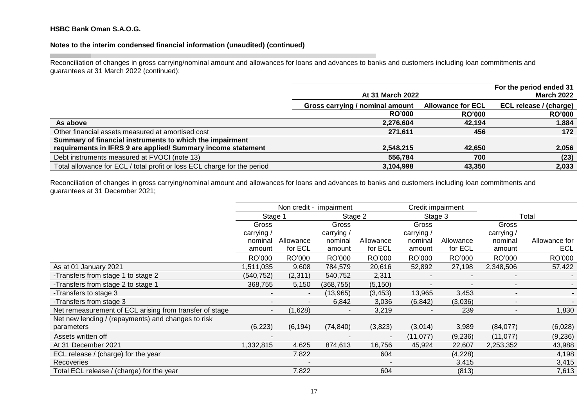# **Notes to the interim condensed financial information (unaudited) (continued)**

Reconciliation of changes in gross carrying/nominal amount and allowances for loans and advances to banks and customers including loan commitments and guarantees at 31 March 2022 (continued);

|                                                                          | At 31 March 2022                |                          | For the period ended 31<br><b>March 2022</b> |
|--------------------------------------------------------------------------|---------------------------------|--------------------------|----------------------------------------------|
|                                                                          | Gross carrying / nominal amount | <b>Allowance for ECL</b> | ECL release / (charge)                       |
|                                                                          | <b>RO'000</b>                   | <b>RO'000</b>            | <b>RO'000</b>                                |
| As above                                                                 | 2,276,604                       | 42.194                   | 1,884                                        |
| Other financial assets measured at amortised cost                        | 271,611                         | 456                      | 172                                          |
| Summary of financial instruments to which the impairment                 |                                 |                          |                                              |
| requirements in IFRS 9 are applied/ Summary income statement             | 2,548,215                       | 42,650                   | 2,056                                        |
| Debt instruments measured at FVOCI (note 13)                             | 556,784                         | 700                      | (23)                                         |
| Total allowance for ECL / total profit or loss ECL charge for the period | 3,104,998                       | 43,350                   | 2,033                                        |

Reconciliation of changes in gross carrying/nominal amount and allowances for loans and advances to banks and customers including loan commitments and guarantees at 31 December 2021;

|                                                         |                          |                | Non credit - impairment  |                          | Credit impairment |           |                          |               |
|---------------------------------------------------------|--------------------------|----------------|--------------------------|--------------------------|-------------------|-----------|--------------------------|---------------|
|                                                         | Stage 1                  |                | Stage 2                  |                          | Stage 3           |           |                          | Total         |
|                                                         | Gross                    |                | Gross                    |                          | Gross             |           | Gross                    |               |
|                                                         | carrying /               |                | carrying /               |                          | carrying /        |           | carrying /               |               |
|                                                         | nominal                  | Allowance      | nominal                  | Allowance                | nominal           | Allowance | nominal                  | Allowance for |
|                                                         | amount                   | for ECL        | amount                   | for ECL                  | amount            | for ECL   | amount                   | <b>ECL</b>    |
|                                                         | RO'000                   | RO'000         | RO'000                   | RO'000                   | RO'000            | RO'000    | RO'000                   | RO'000        |
| As at 01 January 2021                                   | ,511,035                 | 9,608          | 784,579                  | 20,616                   | 52,892            | 27,198    | 2,348,506                | 57,422        |
| -Transfers from stage 1 to stage 2                      | (540,752)                | (2, 311)       | 540,752                  | 2,311                    |                   |           |                          |               |
| -Transfers from stage 2 to stage 1                      | 368,755                  | 5,150          | (368, 755)               | (5, 150)                 |                   |           | $\overline{\phantom{a}}$ |               |
| -Transfers to stage 3                                   | -                        | $\blacksquare$ | (13,965)                 | (3, 453)                 | 13,965            | 3,453     | $\overline{\phantom{a}}$ |               |
| -Transfers from stage 3                                 |                          |                | 6,842                    | 3,036                    | (6, 842)          | (3,036)   | $\overline{\phantom{a}}$ |               |
| Net remeasurement of ECL arising from transfer of stage | $\overline{\phantom{0}}$ | (1,628)        | $\overline{\phantom{a}}$ | 3,219                    |                   | 239       | $\overline{\phantom{0}}$ | 1,830         |
| Net new lending / (repayments) and changes to risk      |                          |                |                          |                          |                   |           |                          |               |
| parameters                                              | (6, 223)                 | (6, 194)       | (74, 840)                | (3,823)                  | (3,014)           | 3,989     | (84,077)                 | (6,028)       |
| Assets written off                                      | -                        |                |                          | $\overline{\phantom{a}}$ | (11, 077)         | (9,236)   | (11, 077)                | (9,236)       |
| At 31 December 2021                                     | 1,332,815                | 4,625          | 874,613                  | 16,756                   | 45,924            | 22,607    | 2,253,352                | 43,988        |
| ECL release / (charge) for the year                     |                          | 7,822          |                          | 604                      |                   | (4,228)   |                          | 4,198         |
| Recoveries                                              |                          |                |                          |                          |                   | 3,415     |                          | 3,415         |
| Total ECL release / (charge) for the year               |                          | 7,822          |                          | 604                      |                   | (813)     |                          | 7,613         |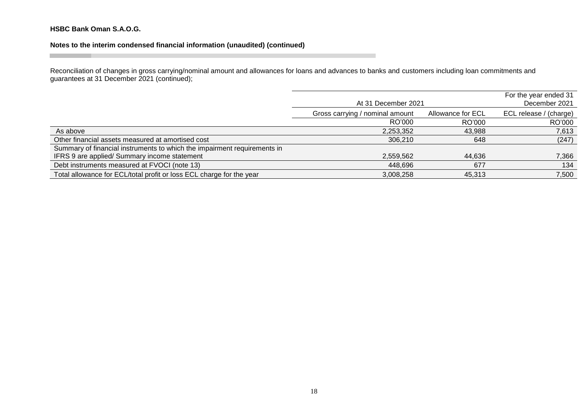# **Notes to the interim condensed financial information (unaudited) (continued)**

Reconciliation of changes in gross carrying/nominal amount and allowances for loans and advances to banks and customers including loan commitments and guarantees at 31 December 2021 (continued);

|                                                                          | At 31 December 2021             | For the year ended 31<br>December 2021 |        |
|--------------------------------------------------------------------------|---------------------------------|----------------------------------------|--------|
|                                                                          | Gross carrying / nominal amount | ECL release / (charge)                 |        |
|                                                                          | RO'000                          | RO'000                                 | RO'000 |
| As above                                                                 | 2,253,352                       | 43,988                                 | 7,613  |
| Other financial assets measured at amortised cost                        | 306,210                         | 648                                    | (247)  |
| Summary of financial instruments to which the impairment requirements in |                                 |                                        |        |
| IFRS 9 are applied/ Summary income statement                             | 2,559,562                       | 44,636                                 | 7,366  |
| Debt instruments measured at FVOCI (note 13)                             | 448,696                         | 677                                    | 134    |
| Total allowance for ECL/total profit or loss ECL charge for the year     | 3,008,258                       | 45,313                                 | 7,500  |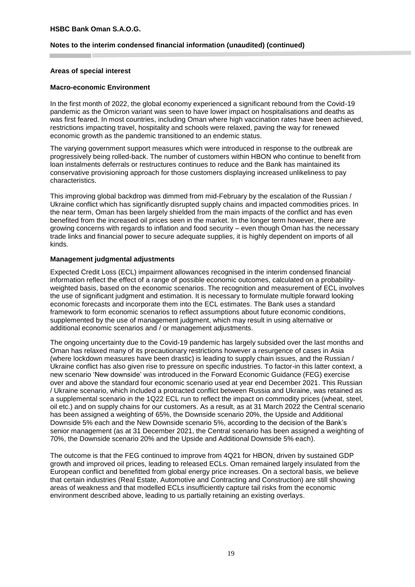#### **Notes to the interim condensed financial information (unaudited) (continued)**

#### **Areas of special interest**

#### **Macro-economic Environment**

In the first month of 2022, the global economy experienced a significant rebound from the Covid-19 pandemic as the Omicron variant was seen to have lower impact on hospitalisations and deaths as was first feared. In most countries, including Oman where high vaccination rates have been achieved, restrictions impacting travel, hospitality and schools were relaxed, paving the way for renewed economic growth as the pandemic transitioned to an endemic status.

The varying government support measures which were introduced in response to the outbreak are progressively being rolled-back. The number of customers within HBON who continue to benefit from loan instalments deferrals or restructures continues to reduce and the Bank has maintained its conservative provisioning approach for those customers displaying increased unlikeliness to pay characteristics.

This improving global backdrop was dimmed from mid-February by the escalation of the Russian / Ukraine conflict which has significantly disrupted supply chains and impacted commodities prices. In the near term, Oman has been largely shielded from the main impacts of the conflict and has even benefited from the increased oil prices seen in the market. In the longer term however, there are growing concerns with regards to inflation and food security – even though Oman has the necessary trade links and financial power to secure adequate supplies, it is highly dependent on imports of all kinds.

#### **Management judgmental adjustments**

Expected Credit Loss (ECL) impairment allowances recognised in the interim condensed financial information reflect the effect of a range of possible economic outcomes, calculated on a probabilityweighted basis, based on the economic scenarios. The recognition and measurement of ECL involves the use of significant judgment and estimation. It is necessary to formulate multiple forward looking economic forecasts and incorporate them into the ECL estimates. The Bank uses a standard framework to form economic scenarios to reflect assumptions about future economic conditions, supplemented by the use of management judgment, which may result in using alternative or additional economic scenarios and / or management adjustments.

The ongoing uncertainty due to the Covid-19 pandemic has largely subsided over the last months and Oman has relaxed many of its precautionary restrictions however a resurgence of cases in Asia (where lockdown measures have been drastic) is leading to supply chain issues, and the Russian / Ukraine conflict has also given rise to pressure on specific industries. To factor-in this latter context, a new scenario 'New downside' was introduced in the Forward Economic Guidance (FEG) exercise over and above the standard four economic scenario used at year end December 2021. This Russian / Ukraine scenario, which included a protracted conflict between Russia and Ukraine, was retained as a supplemental scenario in the 1Q22 ECL run to reflect the impact on commodity prices (wheat, steel, oil etc.) and on supply chains for our customers. As a result, as at 31 March 2022 the Central scenario has been assigned a weighting of 65%, the Downside scenario 20%, the Upside and Additional Downside 5% each and the New Downside scenario 5%, according to the decision of the Bank's senior management (as at 31 December 2021, the Central scenario has been assigned a weighting of 70%, the Downside scenario 20% and the Upside and Additional Downside 5% each).

The outcome is that the FEG continued to improve from 4Q21 for HBON, driven by sustained GDP growth and improved oil prices, leading to released ECLs. Oman remained largely insulated from the European conflict and benefitted from global energy price increases. On a sectoral basis, we believe that certain industries (Real Estate, Automotive and Contracting and Construction) are still showing areas of weakness and that modelled ECLs insufficiently capture tail risks from the economic environment described above, leading to us partially retaining an existing overlays.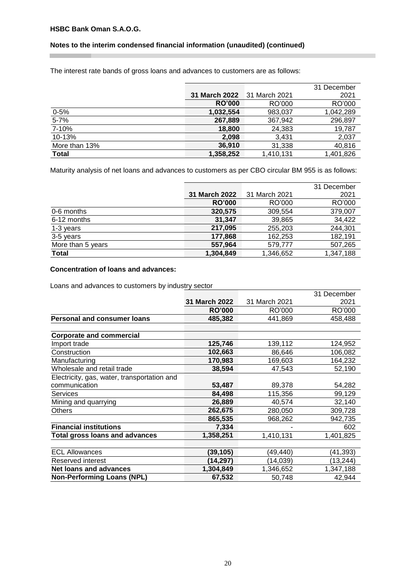×

# **Notes to the interim condensed financial information (unaudited) (continued)**

The interest rate bands of gross loans and advances to customers are as follows:

|               |                      |               | 31 December |
|---------------|----------------------|---------------|-------------|
|               | <b>31 March 2022</b> | 31 March 2021 | 2021        |
|               | <b>RO'000</b>        | RO'000        | RO'000      |
| $0 - 5%$      | 1,032,554            | 983,037       | 1,042,289   |
| $5 - 7%$      | 267,889              | 367,942       | 296,897     |
| 7-10%         | 18,800               | 24,383        | 19,787      |
| 10-13%        | 2,098                | 3.431         | 2,037       |
| More than 13% | 36,910               | 31,338        | 40,816      |
| <b>Total</b>  | 1,358,252            | 1,410,131     | 1.401.826   |

Maturity analysis of net loans and advances to customers as per CBO circular BM 955 is as follows:

|                   |               |               | 31 December |
|-------------------|---------------|---------------|-------------|
|                   | 31 March 2022 | 31 March 2021 | 2021        |
|                   | <b>RO'000</b> | RO'000        | RO'000      |
| 0-6 months        | 320,575       | 309,554       | 379,007     |
| 6-12 months       | 31.347        | 39,865        | 34,422      |
| 1-3 years         | 217,095       | 255,203       | 244,301     |
| 3-5 years         | 177,868       | 162,253       | 182,191     |
| More than 5 years | 557,964       | 579,777       | 507,265     |
| <b>Total</b>      | 1,304,849     | 1,346,652     | 1,347,188   |

# **Concentration of loans and advances:**

Loans and advances to customers by industry sector

|                                             |                      |               | 31 December |
|---------------------------------------------|----------------------|---------------|-------------|
|                                             | <b>31 March 2022</b> | 31 March 2021 | 2021        |
|                                             | <b>RO'000</b>        | RO'000        | RO'000      |
| <b>Personal and consumer loans</b>          | 485,382              | 441,869       | 458,488     |
|                                             |                      |               |             |
| <b>Corporate and commercial</b>             |                      |               |             |
| Import trade                                | 125,746              | 139,112       | 124,952     |
| Construction                                | 102,663              | 86,646        | 106,082     |
| Manufacturing                               | 170,983              | 169,603       | 164,232     |
| Wholesale and retail trade                  | 38,594               | 47,543        | 52,190      |
| Electricity, gas, water, transportation and |                      |               |             |
| communication                               | 53,487               | 89,378        | 54,282      |
| Services                                    | 84,498               | 115,356       | 99,129      |
| Mining and quarrying                        | 26,889               | 40,574        | 32,140      |
| Others                                      | 262,675              | 280,050       | 309,728     |
|                                             | 865,535              | 968,262       | 942,735     |
| <b>Financial institutions</b>               | 7,334                |               | 602         |
| <b>Total gross loans and advances</b>       | 1,358,251            | 1,410,131     | 1,401,825   |
|                                             |                      |               |             |
| <b>ECL Allowances</b>                       | (39, 105)            | (49,440)      | (41,393)    |
| Reserved interest                           | (14,297)             | (14,039)      | (13, 244)   |
| <b>Net loans and advances</b>               | 1,304,849            | 1,346,652     | 1,347,188   |
| <b>Non-Performing Loans (NPL)</b>           | 67,532               | 50,748        | 42,944      |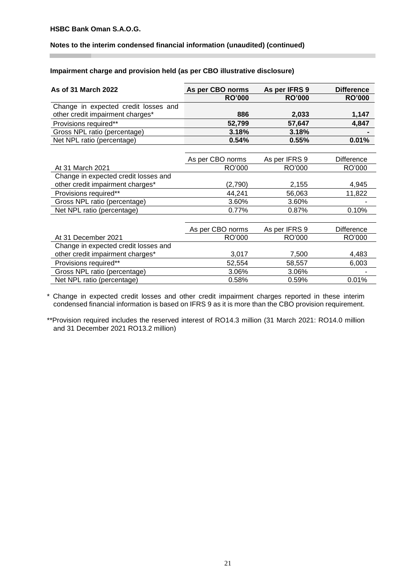#### **Notes to the interim condensed financial information (unaudited) (continued)**

#### **Impairment charge and provision held (as per CBO illustrative disclosure)**

| As of 31 March 2022                  | As per CBO norms | As per IFRS 9 | <b>Difference</b> |
|--------------------------------------|------------------|---------------|-------------------|
|                                      | <b>RO'000</b>    | <b>RO'000</b> | <b>RO'000</b>     |
| Change in expected credit losses and |                  |               |                   |
| other credit impairment charges*     | 886              | 2,033         | 1,147             |
| Provisions required**                | 52,799           | 57,647        | 4,847             |
| Gross NPL ratio (percentage)         | 3.18%            | 3.18%         |                   |
| Net NPL ratio (percentage)           | 0.54%            | 0.55%         | 0.01%             |
|                                      |                  |               |                   |
|                                      | As per CBO norms | As per IFRS 9 | <b>Difference</b> |
| At 31 March 2021                     | RO'000           | RO'000        | RO'000            |
| Change in expected credit losses and |                  |               |                   |
| other credit impairment charges*     | (2,790)          | 2,155         | 4,945             |
| Provisions required**                | 44,241           | 56,063        | 11,822            |
| Gross NPL ratio (percentage)         | 3.60%            | 3.60%         |                   |
| Net NPL ratio (percentage)           | 0.77%            | 0.87%         | 0.10%             |
|                                      |                  |               |                   |
|                                      | As per CBO norms | As per IFRS 9 | Difference        |
| At 31 December 2021                  | RO'000           | RO'000        | RO'000            |
| Change in expected credit losses and |                  |               |                   |
| other credit impairment charges*     | 3,017            | 7,500         | 4,483             |
| Provisions required**                | 52,554           | 58,557        | 6,003             |
| Gross NPL ratio (percentage)         | 3.06%            | 3.06%         |                   |
| Net NPL ratio (percentage)           | 0.58%            | 0.59%         | 0.01%             |

\* Change in expected credit losses and other credit impairment charges reported in these interim condensed financial information is based on IFRS 9 as it is more than the CBO provision requirement.

\*\*Provision required includes the reserved interest of RO14.3 million (31 March 2021: RO14.0 million and 31 December 2021 RO13.2 million)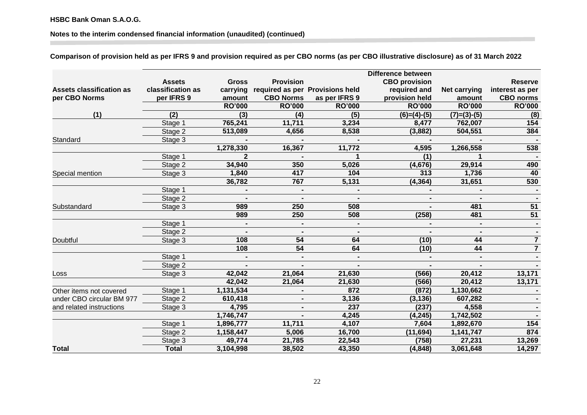**Notes to the interim condensed financial information (unaudited) (continued)**

**Comparison of provision held as per IFRS 9 and provision required as per CBO norms (as per CBO illustrative disclosure) as of 31 March 2022**

|                           |                   |               |                  |                                 | <b>Difference between</b> |                     |                  |
|---------------------------|-------------------|---------------|------------------|---------------------------------|---------------------------|---------------------|------------------|
|                           | <b>Assets</b>     | <b>Gross</b>  | <b>Provision</b> |                                 | <b>CBO</b> provision      |                     | <b>Reserve</b>   |
| Assets classification as  | classification as | carrying      |                  | required as per Provisions held | required and              | <b>Net carrying</b> | interest as per  |
| per CBO Norms             | per IFRS 9        | amount        | <b>CBO Norms</b> | as per IFRS 9                   | provision held            | amount              | <b>CBO</b> norms |
|                           |                   | <b>RO'000</b> | <b>RO'000</b>    | <b>RO'000</b>                   | <b>RO'000</b>             | <b>RO'000</b>       | <b>RO'000</b>    |
| (1)                       | (2)               | (3)           | (4)              | (5)                             | $(6)=(4)-(5)$             | $(7)=(3)-(5)$       | (8)              |
|                           | Stage 1           | 765,241       | 11,711           | 3,234                           | 8,477                     | 762,007             | 154              |
|                           | Stage 2           | 513,089       | 4,656            | 8,538                           | (3,882)                   | 504,551             | 384              |
| Standard                  | Stage 3           |               |                  |                                 |                           |                     |                  |
|                           |                   | 1,278,330     | 16,367           | 11,772                          | 4,595                     | 1,266,558           | 538              |
|                           | Stage 1           |               |                  |                                 | (1)                       |                     |                  |
|                           | Stage 2           | 34,940        | 350              | 5,026                           | (4, 676)                  | 29,914              | 490              |
| Special mention           | Stage 3           | 1,840         | 417              | 104                             | 313                       | 1,736               | 40               |
|                           |                   | 36,782        | 767              | 5,131                           | (4, 364)                  | 31,651              | 530              |
|                           | Stage 1           |               |                  |                                 |                           |                     |                  |
|                           | Stage 2           |               |                  |                                 |                           |                     |                  |
| Substandard               | Stage 3           | 989           | 250              | 508                             |                           | 481                 | $\overline{51}$  |
|                           |                   | 989           | 250              | 508                             | (258)                     | 481                 | 51               |
|                           | Stage 1           |               |                  |                                 |                           |                     |                  |
|                           | Stage 2           |               | $\blacksquare$   |                                 |                           |                     |                  |
| Doubtful                  | Stage 3           | 108           | 54               | 64                              | (10)                      | 44                  | $\overline{7}$   |
|                           |                   | 108           | 54               | 64                              | (10)                      | 44                  | $\overline{7}$   |
|                           | Stage 1           |               |                  |                                 |                           |                     |                  |
|                           | Stage 2           |               |                  |                                 |                           |                     |                  |
| Loss                      | Stage 3           | 42,042        | 21,064           | 21,630                          | (566)                     | 20,412              | 13,171           |
|                           |                   | 42,042        | 21,064           | 21,630                          | (566)                     | 20,412              | 13,171           |
| Other items not covered   | Stage 1           | 1,131,534     |                  | 872                             | (872)                     | 1,130,662           |                  |
| under CBO circular BM 977 | Stage 2           | 610,418       | $\blacksquare$   | 3,136                           | (3, 136)                  | 607,282             |                  |
| and related instructions  | Stage 3           | 4,795         | $\blacksquare$   | 237                             | (237)                     | 4,558               |                  |
|                           |                   | 1,746,747     |                  | 4,245                           | (4, 245)                  | 1,742,502           |                  |
|                           | Stage 1           | 1,896,777     | 11,711           | 4,107                           | 7,604                     | 1,892,670           | 154              |
|                           | Stage 2           | 1,158,447     | 5,006            | 16,700                          | (11, 694)                 | 1,141,747           | 874              |
|                           | Stage 3           | 49,774        | 21,785           | 22,543                          | (758)                     | 27,231              | 13,269           |
| Total                     | <b>Total</b>      | 3,104,998     | 38,502           | 43,350                          | (4, 848)                  | 3,061,648           | 14,297           |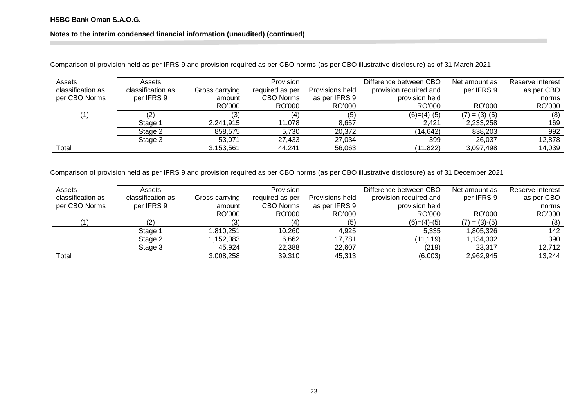# **Notes to the interim condensed financial information (unaudited) (continued)**

Comparison of provision held as per IFRS 9 and provision required as per CBO norms (as per CBO illustrative disclosure) as of 31 March 2021

| Assets<br>classification as | Assets<br>classification as | Gross carrying | Provision<br>required as per | Provisions held | Difference between CBO<br>provision required and | Net amount as<br>per IFRS 9 | Reserve interest<br>as per CBO |
|-----------------------------|-----------------------------|----------------|------------------------------|-----------------|--------------------------------------------------|-----------------------------|--------------------------------|
| per CBO Norms               | per IFRS 9                  | amount         | <b>CBO Norms</b>             | as per IFRS 9   | provision held                                   |                             | norms                          |
|                             |                             | RO'000         | RO'000                       | RO'000          | RO'000                                           | RO'000                      | RO'000                         |
| 11                          |                             | (3)            | (4)                          | (5)             | $(6)=(4)-(5)$                                    | $(7) = (3)-(5)$             | (8)                            |
|                             | Stage 1                     | 2,241,915      | 11.078                       | 8.657           | 2,421                                            | 2,233,258                   | 169                            |
|                             | Stage 2                     | 858,575        | 5.730                        | 20.372          | (14, 642)                                        | 838,203                     | 992                            |
|                             | Stage 3                     | 53.071         | 27.433                       | 27.034          | 399                                              | 26,037                      | 12,878                         |
| Total                       |                             | 3.153.561      | 44.241                       | 56,063          | (11, 822)                                        | 3,097,498                   | 14,039                         |

Comparison of provision held as per IFRS 9 and provision required as per CBO norms (as per CBO illustrative disclosure) as of 31 December 2021

| Assets            | Assets            |                | Provision        |                 | Difference between CBO | Net amount as   | Reserve interest |
|-------------------|-------------------|----------------|------------------|-----------------|------------------------|-----------------|------------------|
| classification as | classification as | Gross carrying | required as per  | Provisions held | provision required and | per IFRS 9      | as per CBO       |
| per CBO Norms     | per IFRS 9        | amount         | <b>CBO Norms</b> | as per IFRS 9   | provision held         |                 | norms            |
|                   |                   | RO'000         | RO'000           | RO'000          | RO'000                 | RO'000          | RO'000           |
| $^{\prime}$ 1.    | (2)               | ί3             | (4)              | (5)             | $(6)=(4)-(5)$          | $(7) = (3)-(5)$ | (8)              |
|                   | Stage 1           | l.810.251      | 10.260           | 4.925           | 5,335                  | 1,805,326       | 142              |
|                   | Stage 2           | 1,152,083      | 6,662            | 17.781          | (11, 119)              | 1,134,302       | 390              |
|                   | Stage 3           | 45,924         | 22,388           | 22,607          | (219)                  | 23,317          | 12,712           |
| Total             |                   | 3,008,258      | 39,310           | 45,313          | (6,003)                | 2,962,945       | 13,244           |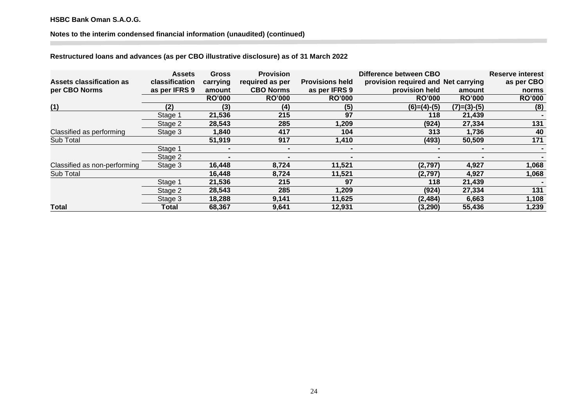# **Notes to the interim condensed financial information (unaudited) (continued)**

# **Restructured loans and advances (as per CBO illustrative disclosure) as of 31 March 2022**

| Assets classification as<br>per CBO Norms | <b>Assets</b><br>classification<br>as per IFRS 9 | <b>Gross</b><br>carrying | <b>Provision</b><br>required as per<br><b>CBO Norms</b> | <b>Provisions held</b><br>as per IFRS 9 | Difference between CBO<br>provision required and Net carrying<br>provision held |                         | <b>Reserve interest</b><br>as per CBO |
|-------------------------------------------|--------------------------------------------------|--------------------------|---------------------------------------------------------|-----------------------------------------|---------------------------------------------------------------------------------|-------------------------|---------------------------------------|
|                                           |                                                  | amount<br><b>RO'000</b>  | <b>RO'000</b>                                           | <b>RO'000</b>                           | <b>RO'000</b>                                                                   | amount<br><b>RO'000</b> | norms<br><b>RO'000</b>                |
| (1)                                       | (2)                                              | (3)                      | (4)                                                     | (5)                                     | $(6)=(4)-(5)$                                                                   | $(7)=(3)-(5)$           | (8)                                   |
|                                           | Stage 1                                          | 21,536                   | 215                                                     | 97                                      | 118                                                                             | 21,439                  |                                       |
|                                           | Stage 2                                          | 28,543                   | 285                                                     | 1,209                                   | (924)                                                                           | 27,334                  | 131                                   |
| Classified as performing                  | Stage 3                                          | 1,840                    | 417                                                     | 104                                     | 313                                                                             | 1,736                   | 40                                    |
| Sub Total                                 |                                                  | 51,919                   | 917                                                     | 1,410                                   | (493)                                                                           | 50,509                  | 171                                   |
|                                           | Stage 1                                          |                          |                                                         | $\blacksquare$                          |                                                                                 |                         |                                       |
|                                           | Stage 2                                          | $\blacksquare$           | $\blacksquare$                                          | $\blacksquare$                          | $\blacksquare$                                                                  | $\blacksquare$          |                                       |
| Classified as non-performing              | Stage 3                                          | 16,448                   | 8,724                                                   | 11,521                                  | (2,797)                                                                         | 4,927                   | 1,068                                 |
| Sub Total                                 |                                                  | 16,448                   | 8,724                                                   | 11,521                                  | (2,797)                                                                         | 4,927                   | 1,068                                 |
|                                           | Stage 1                                          | 21,536                   | 215                                                     | 97                                      | 118                                                                             | 21,439                  |                                       |
|                                           | Stage 2                                          | 28,543                   | 285                                                     | 1,209                                   | (924)                                                                           | 27,334                  | 131                                   |
|                                           | Stage 3                                          | 18,288                   | 9,141                                                   | 11,625                                  | (2, 484)                                                                        | 6,663                   | 1,108                                 |
| Total                                     | Total                                            | 68,367                   | 9,641                                                   | 12,931                                  | (3, 290)                                                                        | 55,436                  | 1,239                                 |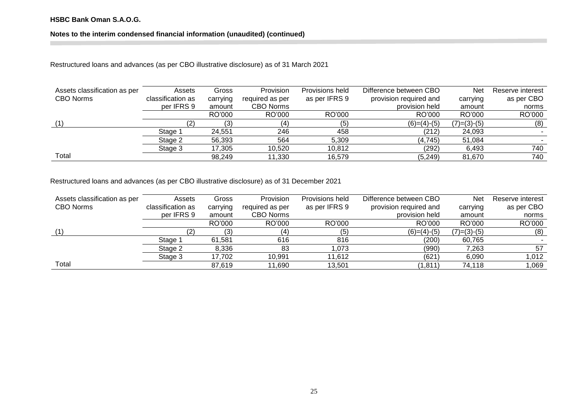# **Notes to the interim condensed financial information (unaudited) (continued)**

Restructured loans and advances (as per CBO illustrative disclosure) as of 31 March 2021

| Assets classification as per<br><b>CBO Norms</b> | Assets<br>classification as | Gross<br>carrying | Provision<br>required as per | Provisions held<br>as per IFRS 9 | Difference between CBO<br>provision required and | Net<br>carrying | Reserve interest<br>as per CBO |
|--------------------------------------------------|-----------------------------|-------------------|------------------------------|----------------------------------|--------------------------------------------------|-----------------|--------------------------------|
|                                                  | per IFRS 9                  | amount            | <b>CBO Norms</b>             |                                  | provision held                                   | amount          | norms                          |
|                                                  |                             | RO'000            | RO'000                       | RO'000                           | RO'000                                           | RO'000          | RO'000                         |
| (1)                                              |                             | (3)               | (4)                          | (5)                              | $(6)=(4)-(5)$                                    | $(7)=(3)-(5)$   | (8)                            |
|                                                  | Stage 1                     | 24.551            | 246                          | 458                              | (212)                                            | 24,093          |                                |
|                                                  | Stage 2                     | 56,393            | 564                          | 5,309                            | (4, 745)                                         | 51,084          |                                |
|                                                  | Stage 3                     | 17.305            | 10.520                       | 10.812                           | (292)                                            | 6.493           | 740                            |
| Total                                            |                             | 98,249            | 11,330                       | 16,579                           | (5, 249)                                         | 81.670          | 740                            |

Restructured loans and advances (as per CBO illustrative disclosure) as of 31 December 2021

| Assets classification as per | Assets            | Gross    | Provision        | Provisions held | Difference between CBO | Net           | Reserve interest |
|------------------------------|-------------------|----------|------------------|-----------------|------------------------|---------------|------------------|
| <b>CBO Norms</b>             | classification as | carrying | required as per  | as per IFRS 9   | provision required and | carrying      | as per CBO       |
|                              | per IFRS 9        | amount   | <b>CBO Norms</b> |                 | provision held         | amount        | norms            |
|                              |                   | RO'000   | RO'000           | RO'000          | RO'000                 | RO'000        | RO'000           |
|                              |                   | (3)      | 4)               | (5)             | $(6)=(4)-(5)$          | $(7)=(3)-(5)$ | (8)              |
|                              | Stage 1           | 61.581   | 616              | 816             | (200)                  | 60,765        |                  |
|                              | Stage 2           | 8,336    | 83               | .073            | (990)                  | 7,263         | 57               |
|                              | Stage 3           | 17,702   | 10,991           | 11.612          | (621)                  | 6,090         | 1,012            |
| Total                        |                   | 87,619   | 11,690           | 13.501          | (1, 811)               | 74,118        | 1,069            |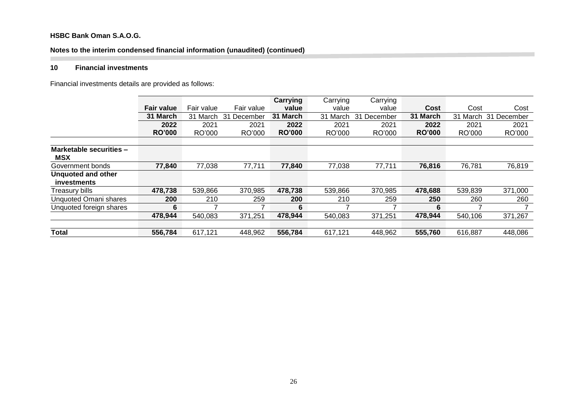# **Notes to the interim condensed financial information (unaudited) (continued)**

# **10 Financial investments**

Financial investments details are provided as follows:

|                                          |                   |            |                | Carrying      | Carrying    | Carrying                    |               |          |             |
|------------------------------------------|-------------------|------------|----------------|---------------|-------------|-----------------------------|---------------|----------|-------------|
|                                          | <b>Fair value</b> | Fair value | Fair value     | value         | value       | value                       | Cost          | Cost     | Cost        |
|                                          | 31 March          | 31 March   | 31<br>December | 31 March      | 31<br>March | $\overline{31}$<br>December | 31 March      | 31 March | 31 December |
|                                          | 2022              | 2021       | 2021           | 2022          | 2021        | 2021                        | 2022          | 2021     | 2021        |
|                                          | <b>RO'000</b>     | RO'000     | RO'000         | <b>RO'000</b> | RO'000      | RO'000                      | <b>RO'000</b> | RO'000   | RO'000      |
|                                          |                   |            |                |               |             |                             |               |          |             |
| Marketable securities -<br><b>MSX</b>    |                   |            |                |               |             |                             |               |          |             |
| Government bonds                         | 77,840            | 77,038     | 77,711         | 77,840        | 77,038      | 77,711                      | 76,816        | 76,781   | 76,819      |
| <b>Unquoted and other</b><br>investments |                   |            |                |               |             |                             |               |          |             |
| Treasury bills                           | 478,738           | 539,866    | 370,985        | 478,738       | 539,866     | 370,985                     | 478,688       | 539,839  | 371,000     |
| <b>Unquoted Omani shares</b>             | <b>200</b>        | 210        | 259            | 200           | 210         | 259                         | 250           | 260      | 260         |
| Unquoted foreign shares                  | 6                 |            |                | 6             |             |                             | 6             |          |             |
|                                          | 478,944           | 540,083    | 371,251        | 478,944       | 540,083     | 371,251                     | 478,944       | 540,106  | 371,267     |
|                                          |                   |            |                |               |             |                             |               |          |             |
| <b>Total</b>                             | 556,784           | 617,121    | 448,962        | 556,784       | 617,121     | 448,962                     | 555,760       | 616,887  | 448,086     |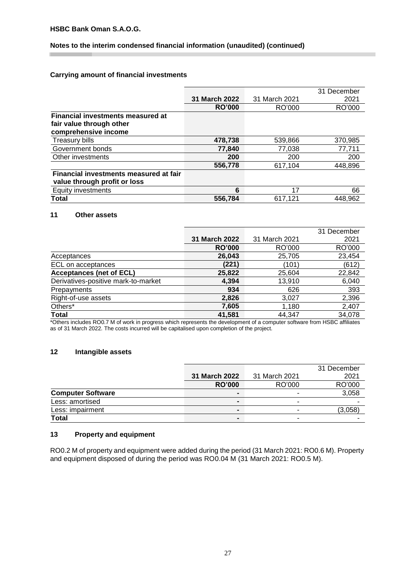# **Notes to the interim condensed financial information (unaudited) (continued)**

# **Carrying amount of financial investments**

|                                                                                              |                      |               | 31 December |
|----------------------------------------------------------------------------------------------|----------------------|---------------|-------------|
|                                                                                              | <b>31 March 2022</b> | 31 March 2021 | 2021        |
|                                                                                              | <b>RO'000</b>        | RO'000        | RO'000      |
| <b>Financial investments measured at</b><br>fair value through other<br>comprehensive income |                      |               |             |
|                                                                                              |                      |               |             |
| Treasury bills                                                                               | 478,738              | 539,866       | 370,985     |
| Government bonds                                                                             | 77,840               | 77,038        | 77,711      |
| Other investments                                                                            | 200                  | 200           | 200         |
|                                                                                              | 556,778              | 617,104       | 448,896     |
| <b>Financial investments measured at fair</b><br>value through profit or loss                |                      |               |             |
| Equity investments                                                                           | 6                    | 17            | 66          |
| Total                                                                                        | 556,784              | 617.121       | 448.962     |

# **11 Other assets**

|                                     |               |               | 31 December |
|-------------------------------------|---------------|---------------|-------------|
|                                     | 31 March 2022 | 31 March 2021 | 2021        |
|                                     | <b>RO'000</b> | RO'000        | RO'000      |
| Acceptances                         | 26,043        | 25,705        | 23,454      |
| ECL on acceptances                  | (221)         | (101)         | (612)       |
| <b>Acceptances (net of ECL)</b>     | 25,822        | 25,604        | 22,842      |
| Derivatives-positive mark-to-market | 4,394         | 13,910        | 6,040       |
| Prepayments                         | 934           | 626           | 393         |
| Right-of-use assets                 | 2,826         | 3,027         | 2,396       |
| Others*                             | 7,605         | 1,180         | 2,407       |
| <b>Total</b>                        | 41,581        | 44,347        | 34,078      |

\*Others includes RO0.7 M of work in progress which represents the development of a computer software from HSBC affiliates as of 31 March 2022. The costs incurred will be capitalised upon completion of the project.

# **12 Intangible assets**

|                          |                      |               | 31 December |
|--------------------------|----------------------|---------------|-------------|
|                          | <b>31 March 2022</b> | 31 March 2021 | 2021        |
|                          | <b>RO'000</b>        | RO'000        | RO'000      |
| <b>Computer Software</b> | -                    |               | 3,058       |
| Less: amortised          | $\blacksquare$       | -             |             |
| Less: impairment         | $\blacksquare$       | -             | (3,058)     |
| <b>Total</b>             | $\blacksquare$       | -             |             |

# **13 Property and equipment**

RO0.2 M of property and equipment were added during the period (31 March 2021: RO0.6 M). Property and equipment disposed of during the period was RO0.04 M (31 March 2021: RO0.5 M).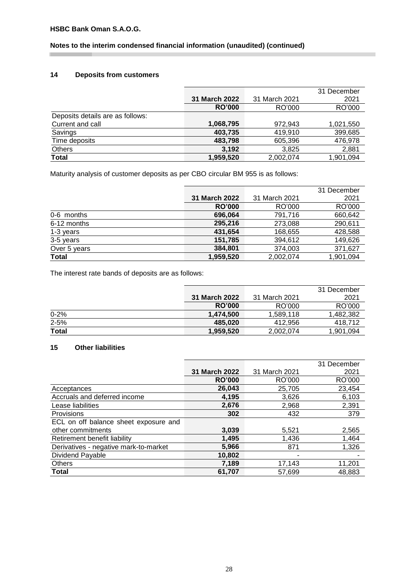I.

# **Notes to the interim condensed financial information (unaudited) (continued)**

# **14 Deposits from customers**

|                                  |                      |               | 31 December |
|----------------------------------|----------------------|---------------|-------------|
|                                  | <b>31 March 2022</b> | 31 March 2021 | 2021        |
|                                  | <b>RO'000</b>        | RO'000        | RO'000      |
| Deposits details are as follows: |                      |               |             |
| Current and call                 | 1,068,795            | 972,943       | 1,021,550   |
| Savings                          | 403,735              | 419,910       | 399,685     |
| Time deposits                    | 483,798              | 605,396       | 476,978     |
| Others                           | 3,192                | 3,825         | 2,881       |
| <b>Total</b>                     | 1,959,520            | 2.002.074     | 1,901,094   |

Maturity analysis of customer deposits as per CBO circular BM 955 is as follows:

|              |                      |               | 31 December |
|--------------|----------------------|---------------|-------------|
|              | <b>31 March 2022</b> | 31 March 2021 | 2021        |
|              | <b>RO'000</b>        | RO'000        | RO'000      |
| 0-6 months   | 696,064              | 791,716       | 660,642     |
| 6-12 months  | 295,216              | 273,088       | 290,611     |
| 1-3 years    | 431,654              | 168,655       | 428,588     |
| 3-5 years    | 151,785              | 394,612       | 149,626     |
| Over 5 years | 384,801              | 374,003       | 371,627     |
| <b>Total</b> | 1,959,520            | 2,002,074     | 1,901,094   |

The interest rate bands of deposits are as follows:

|              |                      |               | 31 December |
|--------------|----------------------|---------------|-------------|
|              | <b>31 March 2022</b> | 31 March 2021 | 2021        |
|              | <b>RO'000</b>        | RO'000        | RO'000      |
| $0 - 2%$     | 1.474.500            | 1.589.118     | 1,482,382   |
| $2 - 5%$     | 485.020              | 412.956       | 418.712     |
| <b>Total</b> | 1.959.520            | 2,002,074     | 1,901,094   |

# **15 Other liabilities**

|                                       |               |               | 31 December |
|---------------------------------------|---------------|---------------|-------------|
|                                       | 31 March 2022 | 31 March 2021 | 2021        |
|                                       | <b>RO'000</b> | RO'000        | RO'000      |
| Acceptances                           | 26,043        | 25,705        | 23,454      |
| Accruals and deferred income          | 4,195         | 3,626         | 6,103       |
| Lease liabilities                     | 2,676         | 2,968         | 2,391       |
| Provisions                            | 302           | 432           | 379         |
| ECL on off balance sheet exposure and |               |               |             |
| other commitments                     | 3,039         | 5,521         | 2,565       |
| Retirement benefit liability          | 1,495         | 1,436         | 1,464       |
| Derivatives - negative mark-to-market | 5,966         | 871           | 1,326       |
| Dividend Payable                      | 10,802        |               |             |
| <b>Others</b>                         | 7,189         | 17,143        | 11,201      |
| <b>Total</b>                          | 61.707        | 57,699        | 48,883      |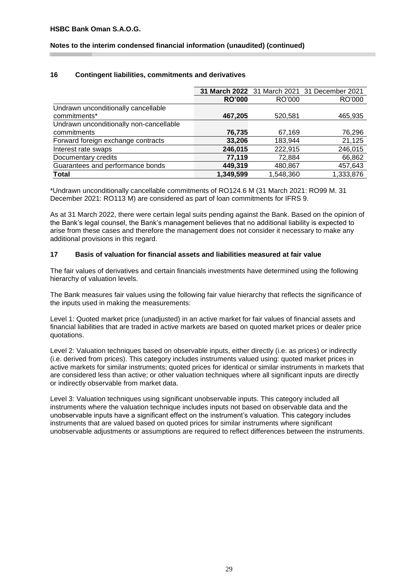# **Notes to the interim condensed financial information (unaudited) (continued)**

# **16 Contingent liabilities, commitments and derivatives**

|                                         |               |           | 31 March 2022 31 March 2021 31 December 2021 |
|-----------------------------------------|---------------|-----------|----------------------------------------------|
|                                         | <b>RO'000</b> | RO'000    | RO'000                                       |
| Undrawn unconditionally cancellable     |               |           |                                              |
| commitments*                            | 467,205       | 520,581   | 465,935                                      |
| Undrawn unconditionally non-cancellable |               |           |                                              |
| commitments                             | 76,735        | 67,169    | 76,296                                       |
| Forward foreign exchange contracts      | 33,206        | 183,944   | 21,125                                       |
| Interest rate swaps                     | 246,015       | 222,915   | 246,015                                      |
| Documentary credits                     | 77,119        | 72,884    | 66,862                                       |
| Guarantees and performance bonds        | 449,319       | 480,867   | 457,643                                      |
| Total                                   | 1,349,599     | 1,548,360 | 1,333,876                                    |

\*Undrawn unconditionally cancellable commitments of RO124.6 M (31 March 2021: RO99 M. 31 December 2021: RO113 M) are considered as part of loan commitments for IFRS 9.

As at 31 March 2022, there were certain legal suits pending against the Bank. Based on the opinion of the Bank's legal counsel, the Bank's management believes that no additional liability is expected to arise from these cases and therefore the management does not consider it necessary to make any additional provisions in this regard.

#### **17 Basis of valuation for financial assets and liabilities measured at fair value**

The fair values of derivatives and certain financials investments have determined using the following hierarchy of valuation levels.

The Bank measures fair values using the following fair value hierarchy that reflects the significance of the inputs used in making the measurements:

Level 1: Quoted market price (unadjusted) in an active market for fair values of financial assets and financial liabilities that are traded in active markets are based on quoted market prices or dealer price quotations.

Level 2: Valuation techniques based on observable inputs, either directly (i.e. as prices) or indirectly (i.e. derived from prices). This category includes instruments valued using: quoted market prices in active markets for similar instruments; quoted prices for identical or similar instruments in markets that are considered less than active; or other valuation techniques where all significant inputs are directly or indirectly observable from market data.

Level 3: Valuation techniques using significant unobservable inputs. This category included all instruments where the valuation technique includes inputs not based on observable data and the unobservable inputs have a significant effect on the instrument's valuation. This category includes instruments that are valued based on quoted prices for similar instruments where significant unobservable adjustments or assumptions are required to reflect differences between the instruments.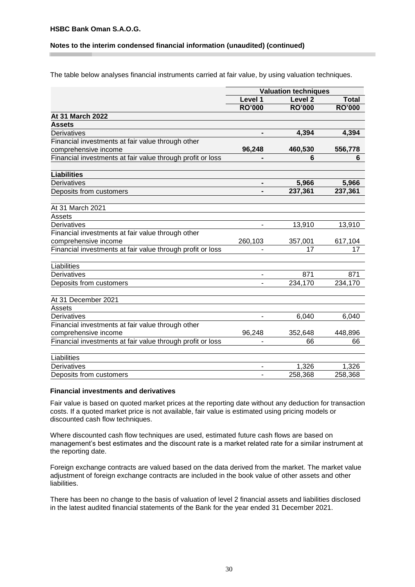#### **Notes to the interim condensed financial information (unaudited) (continued)**

The table below analyses financial instruments carried at fair value, by using valuation techniques.

|                                                            | <b>Valuation techniques</b> |                    |               |  |
|------------------------------------------------------------|-----------------------------|--------------------|---------------|--|
|                                                            | Level 1                     | Level <sub>2</sub> | <b>Total</b>  |  |
|                                                            | <b>RO'000</b>               | <b>RO'000</b>      | <b>RO'000</b> |  |
| At 31 March 2022                                           |                             |                    |               |  |
| <b>Assets</b>                                              |                             |                    |               |  |
| Derivatives                                                | $\blacksquare$              | 4,394              | 4,394         |  |
| Financial investments at fair value through other          |                             |                    |               |  |
| comprehensive income                                       | 96,248                      | 460,530            | 556,778       |  |
| Financial investments at fair value through profit or loss |                             | 6                  | 6             |  |
| <b>Liabilities</b>                                         |                             |                    |               |  |
| <b>Derivatives</b>                                         | $\blacksquare$              | 5,966              | 5,966         |  |
| Deposits from customers                                    |                             | 237,361            | 237,361       |  |
| At 31 March 2021                                           |                             |                    |               |  |
| Assets                                                     |                             |                    |               |  |
| Derivatives                                                | ٠                           | 13,910             | 13,910        |  |
| Financial investments at fair value through other          |                             |                    |               |  |
| comprehensive income                                       | 260,103                     | 357,001            | 617,104       |  |
| Financial investments at fair value through profit or loss |                             | 17                 | 17            |  |
| Liabilities                                                |                             |                    |               |  |
| Derivatives                                                | ٠                           | 871                | 871           |  |
| Deposits from customers                                    |                             | 234,170            | 234,170       |  |
| At 31 December 2021                                        |                             |                    |               |  |
| Assets                                                     |                             |                    |               |  |
| Derivatives                                                |                             | 6,040              | 6,040         |  |
| Financial investments at fair value through other          |                             |                    |               |  |
| comprehensive income                                       | 96,248                      | 352,648            | 448,896       |  |
| Financial investments at fair value through profit or loss |                             | 66                 | 66            |  |
| Liabilities                                                |                             |                    |               |  |
| Derivatives                                                |                             | 1,326              | 1,326         |  |
| Deposits from customers                                    |                             | 258,368            | 258,368       |  |

#### **Financial investments and derivatives**

Fair value is based on quoted market prices at the reporting date without any deduction for transaction costs. If a quoted market price is not available, fair value is estimated using pricing models or discounted cash flow techniques.

Where discounted cash flow techniques are used, estimated future cash flows are based on management's best estimates and the discount rate is a market related rate for a similar instrument at the reporting date.

Foreign exchange contracts are valued based on the data derived from the market. The market value adjustment of foreign exchange contracts are included in the book value of other assets and other liabilities.

There has been no change to the basis of valuation of level 2 financial assets and liabilities disclosed in the latest audited financial statements of the Bank for the year ended 31 December 2021.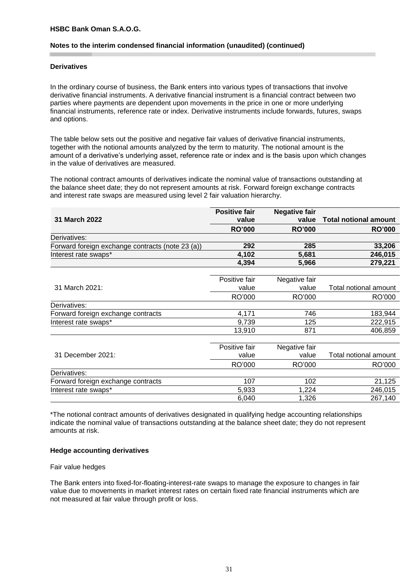#### **Notes to the interim condensed financial information (unaudited) (continued)**

#### **Derivatives**

In the ordinary course of business, the Bank enters into various types of transactions that involve derivative financial instruments. A derivative financial instrument is a financial contract between two parties where payments are dependent upon movements in the price in one or more underlying financial instruments, reference rate or index. Derivative instruments include forwards, futures, swaps and options.

The table below sets out the positive and negative fair values of derivative financial instruments*,* together with the notional amounts analyzed by the term to maturity. The notional amount is the amount of a derivative's underlying asset, reference rate or index and is the basis upon which changes in the value of derivatives are measured.

The notional contract amounts of derivatives indicate the nominal value of transactions outstanding at the balance sheet date; they do not represent amounts at risk. Forward foreign exchange contracts and interest rate swaps are measured using level 2 fair valuation hierarchy.

|                                                  | <b>Positive fair</b> | <b>Negative fair</b> |                              |
|--------------------------------------------------|----------------------|----------------------|------------------------------|
| 31 March 2022                                    | value                | value                | <b>Total notional amount</b> |
|                                                  | <b>RO'000</b>        | <b>RO'000</b>        | <b>RO'000</b>                |
| Derivatives:                                     |                      |                      |                              |
| Forward foreign exchange contracts (note 23 (a)) | 292                  | 285                  | 33,206                       |
| Interest rate swaps*                             | 4,102                | 5,681                | 246,015                      |
|                                                  | 4,394                | 5,966                | 279,221                      |
|                                                  |                      |                      |                              |
|                                                  | Positive fair        | Negative fair        |                              |
| 31 March 2021:                                   | value                | value                | Total notional amount        |
|                                                  | RO'000               | RO'000               | RO'000                       |
| Derivatives:                                     |                      |                      |                              |
| Forward foreign exchange contracts               | 4,171                | 746                  | 183,944                      |
| Interest rate swaps*                             | 9,739                | 125                  | 222,915                      |
|                                                  | 13,910               | 871                  | 406,859                      |
|                                                  |                      |                      |                              |
|                                                  | Positive fair        | Negative fair        |                              |
| 31 December 2021:                                | value                | value                | Total notional amount        |
|                                                  | RO'000               | RO'000               | RO'000                       |
| Derivatives:                                     |                      |                      |                              |
| Forward foreign exchange contracts               | 107                  | 102                  | 21,125                       |
| Interest rate swaps*                             | 5,933                | 1,224                | 246,015                      |
|                                                  | 6,040                | 1,326                | 267,140                      |

\*The notional contract amounts of derivatives designated in qualifying hedge accounting relationships indicate the nominal value of transactions outstanding at the balance sheet date; they do not represent amounts at risk.

#### **Hedge accounting derivatives**

#### Fair value hedges

The Bank enters into fixed-for-floating-interest-rate swaps to manage the exposure to changes in fair value due to movements in market interest rates on certain fixed rate financial instruments which are not measured at fair value through profit or loss.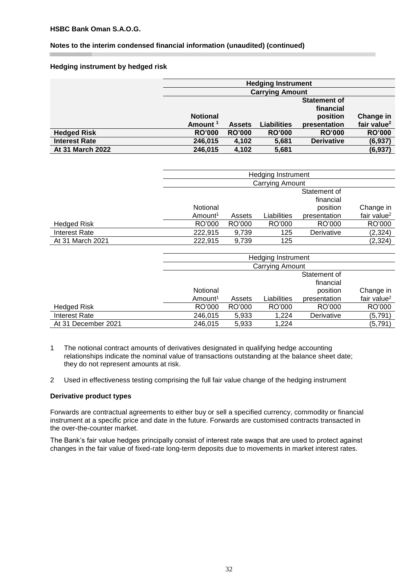# **Notes to the interim condensed financial information (unaudited) (continued)**

# **Hedging instrument by hedged risk**

|                      |                        |               | <b>Hedging Instrument</b> |                   |                         |  |  |
|----------------------|------------------------|---------------|---------------------------|-------------------|-------------------------|--|--|
|                      | <b>Carrying Amount</b> |               |                           |                   |                         |  |  |
|                      | <b>Statement of</b>    |               |                           |                   |                         |  |  |
|                      |                        |               |                           | financial         |                         |  |  |
|                      | <b>Notional</b>        |               |                           | position          | Change in               |  |  |
|                      | Amount <sup>1</sup>    | <b>Assets</b> | <b>Liabilities</b>        | presentation      | fair value <sup>2</sup> |  |  |
| <b>Hedged Risk</b>   | <b>RO'000</b>          | <b>RO'000</b> | <b>RO'000</b>             | <b>RO'000</b>     | <b>RO'000</b>           |  |  |
| <b>Interest Rate</b> | 246,015                | 4,102         | 5,681                     | <b>Derivative</b> | (6, 937)                |  |  |
| At 31 March 2022     | 246,015                | 4,102         | 5,681                     |                   | (6, 937)                |  |  |

|                      | <b>Hedging Instrument</b> |        |             |              |                |  |  |  |
|----------------------|---------------------------|--------|-------------|--------------|----------------|--|--|--|
|                      | <b>Carrying Amount</b>    |        |             |              |                |  |  |  |
|                      | Statement of<br>financial |        |             |              |                |  |  |  |
|                      | Notional                  |        |             | position     | Change in      |  |  |  |
|                      | Amount <sup>1</sup>       | Assets | Liabilities | presentation | fair value $2$ |  |  |  |
| <b>Hedged Risk</b>   | RO'000                    | RO'000 | RO'000      | RO'000       | RO'000         |  |  |  |
| <b>Interest Rate</b> | 222.915                   | 9.739  | 125         | Derivative   | (2, 324)       |  |  |  |
| At 31 March 2021     | 222.915                   | 9,739  | 125         |              | (2, 324)       |  |  |  |

|                     |                        |        | Hedging Instrument |              |                         |  |  |
|---------------------|------------------------|--------|--------------------|--------------|-------------------------|--|--|
|                     | <b>Carrying Amount</b> |        |                    |              |                         |  |  |
|                     | Statement of           |        |                    |              |                         |  |  |
|                     | financial              |        |                    |              |                         |  |  |
|                     | Notional               |        |                    | position     | Change in               |  |  |
|                     | Amount <sup>1</sup>    | Assets | Liabilities        | presentation | fair value <sup>2</sup> |  |  |
| <b>Hedged Risk</b>  | RO'000                 | RO'000 | RO'000             | RO'000       | RO'000                  |  |  |
| Interest Rate       | 246,015                | 5,933  | 1.224              | Derivative   | (5,791)                 |  |  |
| At 31 December 2021 | 246,015                | 5,933  | 1,224              |              | (5,791)                 |  |  |

- 1 The notional contract amounts of derivatives designated in qualifying hedge accounting relationships indicate the nominal value of transactions outstanding at the balance sheet date; they do not represent amounts at risk.
- 2 Used in effectiveness testing comprising the full fair value change of the hedging instrument

#### **Derivative product types**

Forwards are contractual agreements to either buy or sell a specified currency, commodity or financial instrument at a specific price and date in the future. Forwards are customised contracts transacted in the over-the-counter market.

The Bank's fair value hedges principally consist of interest rate swaps that are used to protect against changes in the fair value of fixed-rate long-term deposits due to movements in market interest rates.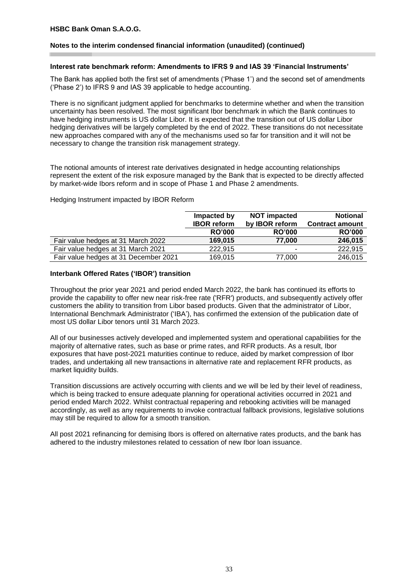# **Notes to the interim condensed financial information (unaudited) (continued)**

#### **Interest rate benchmark reform: Amendments to IFRS 9 and IAS 39 'Financial Instruments'**

The Bank has applied both the first set of amendments ('Phase 1') and the second set of amendments ('Phase 2') to IFRS 9 and IAS 39 applicable to hedge accounting.

There is no significant judgment applied for benchmarks to determine whether and when the transition uncertainty has been resolved. The most significant Ibor benchmark in which the Bank continues to have hedging instruments is US dollar Libor. It is expected that the transition out of US dollar Libor hedging derivatives will be largely completed by the end of 2022. These transitions do not necessitate new approaches compared with any of the mechanisms used so far for transition and it will not be necessary to change the transition risk management strategy.

The notional amounts of interest rate derivatives designated in hedge accounting relationships represent the extent of the risk exposure managed by the Bank that is expected to be directly affected by market-wide Ibors reform and in scope of Phase 1 and Phase 2 amendments.

Hedging Instrument impacted by IBOR Reform

|                                       | Impacted by        | <b>NOT impacted</b>   | <b>Notional</b>        |
|---------------------------------------|--------------------|-----------------------|------------------------|
|                                       | <b>IBOR</b> reform | by <b>IBOR</b> reform | <b>Contract amount</b> |
|                                       | <b>RO'000</b>      | <b>RO'000</b>         | <b>RO'000</b>          |
| Fair value hedges at 31 March 2022    | 169,015            | 77.000                | 246,015                |
| Fair value hedges at 31 March 2021    | 222.915            |                       | 222,915                |
| Fair value hedges at 31 December 2021 | 169,015            | 77,000                | 246,015                |

#### **Interbank Offered Rates ('IBOR') transition**

Throughout the prior year 2021 and period ended March 2022, the bank has continued its efforts to provide the capability to offer new near risk-free rate ('RFR') products, and subsequently actively offer customers the ability to transition from Libor based products. Given that the administrator of Libor, International Benchmark Administrator ('IBA'), has confirmed the extension of the publication date of most US dollar Libor tenors until 31 March 2023.

All of our businesses actively developed and implemented system and operational capabilities for the majority of alternative rates, such as base or prime rates, and RFR products. As a result, Ibor exposures that have post-2021 maturities continue to reduce, aided by market compression of Ibor trades, and undertaking all new transactions in alternative rate and replacement RFR products, as market liquidity builds.

Transition discussions are actively occurring with clients and we will be led by their level of readiness, which is being tracked to ensure adequate planning for operational activities occurred in 2021 and period ended March 2022. Whilst contractual repapering and rebooking activities will be managed accordingly, as well as any requirements to invoke contractual fallback provisions, legislative solutions may still be required to allow for a smooth transition.

All post 2021 refinancing for demising Ibors is offered on alternative rates products, and the bank has adhered to the industry milestones related to cessation of new Ibor loan issuance.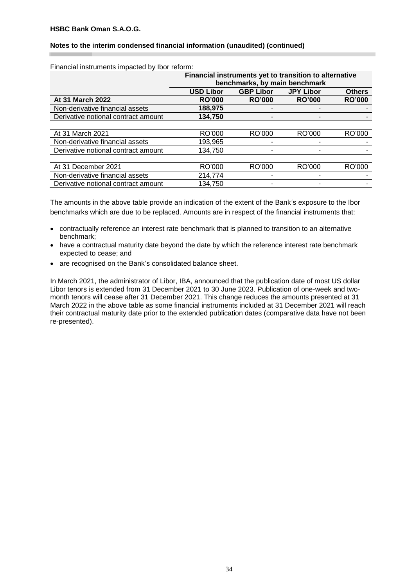## **Notes to the interim condensed financial information (unaudited) (continued)**

| , manoial moti annonto impactoa by ibor roi onni. |                                                        |                  |                  |               |  |  |  |  |
|---------------------------------------------------|--------------------------------------------------------|------------------|------------------|---------------|--|--|--|--|
|                                                   | Financial instruments yet to transition to alternative |                  |                  |               |  |  |  |  |
|                                                   | benchmarks, by main benchmark                          |                  |                  |               |  |  |  |  |
|                                                   | <b>USD Libor</b>                                       | <b>GBP Libor</b> | <b>JPY Libor</b> | <b>Others</b> |  |  |  |  |
| At 31 March 2022                                  | <b>RO'000</b>                                          | <b>RO'000</b>    | <b>RO'000</b>    | <b>RO'000</b> |  |  |  |  |
| Non-derivative financial assets                   | 188,975                                                |                  |                  |               |  |  |  |  |
| Derivative notional contract amount               | 134,750                                                |                  |                  |               |  |  |  |  |
|                                                   |                                                        |                  |                  |               |  |  |  |  |
| At 31 March 2021                                  | RO'000                                                 | RO'000           | RO'000           | RO'000        |  |  |  |  |
| Non-derivative financial assets                   | 193.965                                                |                  |                  |               |  |  |  |  |
| Derivative notional contract amount               | 134.750                                                |                  |                  |               |  |  |  |  |
|                                                   |                                                        |                  |                  |               |  |  |  |  |
| At 31 December 2021                               | RO'000                                                 | RO'000           | RO'000           | RO'000        |  |  |  |  |
| Non-derivative financial assets                   | 214.774                                                |                  |                  |               |  |  |  |  |
| Derivative notional contract amount               | 134.750                                                |                  |                  |               |  |  |  |  |

Financial instruments impacted by Ibor reform:

The amounts in the above table provide an indication of the extent of the Bank's exposure to the Ibor benchmarks which are due to be replaced. Amounts are in respect of the financial instruments that:

- contractually reference an interest rate benchmark that is planned to transition to an alternative benchmark;
- have a contractual maturity date beyond the date by which the reference interest rate benchmark expected to cease; and
- are recognised on the Bank's consolidated balance sheet.

In March 2021, the administrator of Libor, IBA, announced that the publication date of most US dollar Libor tenors is extended from 31 December 2021 to 30 June 2023. Publication of one-week and twomonth tenors will cease after 31 December 2021. This change reduces the amounts presented at 31 March 2022 in the above table as some financial instruments included at 31 December 2021 will reach their contractual maturity date prior to the extended publication dates (comparative data have not been re-presented).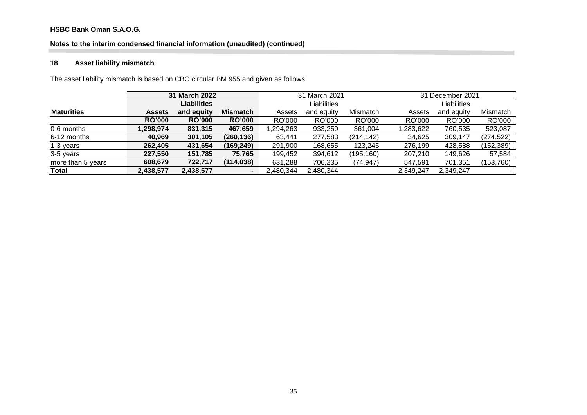# **Notes to the interim condensed financial information (unaudited) (continued)**

# **18 Asset liability mismatch**

The asset liability mismatch is based on CBO circular BM 955 and given as follows:

|                   | 31 March 2022 |                    |                 | 31 March 2021 |             |            | 31 December 2021 |             |            |  |
|-------------------|---------------|--------------------|-----------------|---------------|-------------|------------|------------------|-------------|------------|--|
|                   |               | <b>Liabilities</b> |                 |               | Liabilities |            |                  | Liabilities |            |  |
| <b>Maturities</b> | <b>Assets</b> | and equity         | <b>Mismatch</b> | Assets        | and equity  | Mismatch   | Assets           | and equity  | Mismatch   |  |
|                   | <b>RO'000</b> | <b>RO'000</b>      | <b>RO'000</b>   | RO'000        | RO'000      | RO'000     | RO'000           | RO'000      | RO'000     |  |
| 0-6 months        | 1,298,974     | 831,315            | 467,659         | 1,294,263     | 933,259     | 361,004    | ,283,622         | 760,535     | 523,087    |  |
| 6-12 months       | 40.969        | 301,105            | (260, 136)      | 63.441        | 277,583     | (214, 142) | 34,625           | 309,147     | (274, 522) |  |
| 1-3 years         | 262,405       | 431,654            | (169, 249)      | 291,900       | 168,655     | 123,245    | 276,199          | 428,588     | (152, 389) |  |
| 3-5 years         | 227,550       | 151,785            | 75,765          | 199,452       | 394,612     | (195, 160) | 207,210          | 149.626     | 57,584     |  |
| more than 5 years | 608,679       | 722.717            | (114, 038)      | 631,288       | 706,235     | (74,947)   | 547.591          | 701,351     | (153, 760) |  |
| <b>Total</b>      | 2,438,577     | 2,438,577          | $\blacksquare$  | 2,480,344     | 2,480,344   |            | 2,349,247        | 2,349,247   |            |  |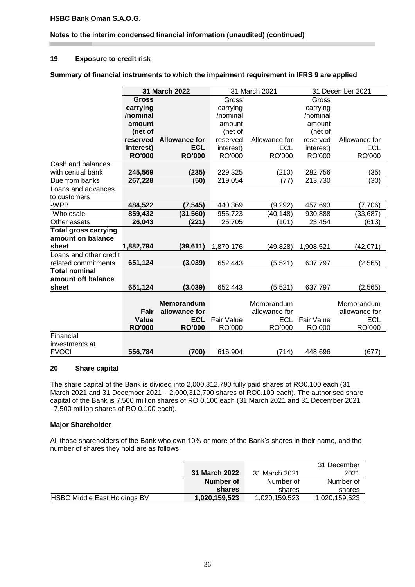# **Notes to the interim condensed financial information (unaudited) (continued)**

#### **19 Exposure to credit risk**

**Summary of financial instruments to which the impairment requirement in IFRS 9 are applied**

|                             |               | 31 March 2022        |                   | 31 March 2021               |                   | 31 December 2021            |  |
|-----------------------------|---------------|----------------------|-------------------|-----------------------------|-------------------|-----------------------------|--|
|                             | <b>Gross</b>  |                      | Gross             |                             | Gross             |                             |  |
|                             | carrying      |                      | carrying          |                             | carrying          |                             |  |
|                             | /nominal      |                      | /nominal          |                             | /nominal          |                             |  |
|                             | amount        |                      | amount            |                             | amount            |                             |  |
|                             | (net of       |                      | (net of           |                             | (net of           |                             |  |
|                             | reserved      | <b>Allowance for</b> | reserved          | Allowance for               | reserved          | Allowance for               |  |
|                             | interest)     | <b>ECL</b>           | interest)         | <b>ECL</b>                  | interest)         | <b>ECL</b>                  |  |
|                             | <b>RO'000</b> | <b>RO'000</b>        | RO'000            | RO'000                      | RO'000            | RO'000                      |  |
| Cash and balances           |               |                      |                   |                             |                   |                             |  |
| with central bank           | 245,569       | (235)                | 229,325           | (210)                       | 282,756           | (35)                        |  |
| Due from banks              | 267,228       | (50)                 | 219,054           | (77)                        | 213,730           | (30)                        |  |
| Loans and advances          |               |                      |                   |                             |                   |                             |  |
| to customers                |               |                      |                   |                             |                   |                             |  |
| -WPB                        | 484,522       | (7,545)              | 440,369           | (9, 292)                    | 457,693           | (7,706)                     |  |
| -Wholesale                  | 859,432       | (31, 560)            | 955,723           | (40, 148)                   | 930,888           | (33, 687)                   |  |
| Other assets                | 26,043        | (221)                | 25,705            | (101)                       | 23,454            | (613)                       |  |
| <b>Total gross carrying</b> |               |                      |                   |                             |                   |                             |  |
| amount on balance           |               |                      |                   |                             |                   |                             |  |
| sheet                       | 1,882,794     | (39, 611)            | 1,870,176         | (49, 828)                   | 1,908,521         | (42,071)                    |  |
| Loans and other credit      |               |                      |                   |                             |                   |                             |  |
| related commitments         | 651,124       | (3,039)              | 652,443           | (5,521)                     | 637,797           | (2, 565)                    |  |
| <b>Total nominal</b>        |               |                      |                   |                             |                   |                             |  |
| amount off balance          |               |                      |                   |                             |                   |                             |  |
| sheet                       | 651,124       | (3,039)              | 652,443           | (5,521)                     | 637,797           | (2, 565)                    |  |
|                             |               | <b>Memorandum</b>    |                   |                             |                   |                             |  |
|                             | Fair          | allowance for        |                   | Memorandum<br>allowance for |                   | Memorandum<br>allowance for |  |
|                             | <b>Value</b>  | <b>ECL</b>           | <b>Fair Value</b> | <b>ECL</b>                  | <b>Fair Value</b> | <b>ECL</b>                  |  |
|                             | <b>RO'000</b> | <b>RO'000</b>        | RO'000            | RO'000                      | RO'000            | RO'000                      |  |
| Financial                   |               |                      |                   |                             |                   |                             |  |
| investments at              |               |                      |                   |                             |                   |                             |  |
| <b>FVOCI</b>                | 556,784       | (700)                | 616,904           | (714)                       | 448,696           | (677)                       |  |

#### **20 Share capital**

The share capital of the Bank is divided into 2,000,312,790 fully paid shares of RO0.100 each (31 March 2021 and 31 December 2021 – 2,000,312,790 shares of RO0.100 each). The authorised share capital of the Bank is 7,500 million shares of RO 0.100 each (31 March 2021 and 31 December 2021 –7,500 million shares of RO 0.100 each).

# **Major Shareholder**

All those shareholders of the Bank who own 10% or more of the Bank's shares in their name, and the number of shares they hold are as follows:

|                                     |               |               | 31 December   |
|-------------------------------------|---------------|---------------|---------------|
|                                     | 31 March 2022 | 31 March 2021 | 2021          |
|                                     | Number of     | Number of     | Number of     |
|                                     | shares        | shares        | shares        |
| <b>HSBC Middle East Holdings BV</b> | 1,020,159,523 | 1,020,159,523 | 1,020,159,523 |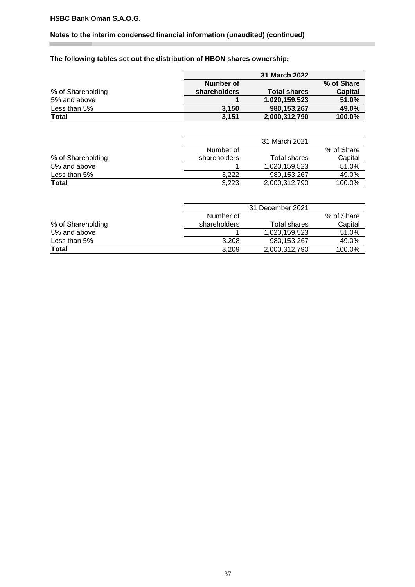# **Notes to the interim condensed financial information (unaudited) (continued)**

# **The following tables set out the distribution of HBON shares ownership:**

|                   |              | 31 March 2022       |            |
|-------------------|--------------|---------------------|------------|
|                   | Number of    |                     | % of Share |
| % of Shareholding | shareholders | <b>Total shares</b> | Capital    |
| 5% and above      |              | 1,020,159,523       | 51.0%      |
| Less than 5%      | 3.150        | 980,153,267         | 49.0%      |
| <b>Total</b>      | 3,151        | 2,000,312,790       | 100.0%     |

|                   |              | 31 March 2021 |            |
|-------------------|--------------|---------------|------------|
|                   | Number of    |               | % of Share |
| % of Shareholding | shareholders | Total shares  | Capital    |
| 5% and above      |              | 1,020,159,523 | 51.0%      |
| Less than 5%      | 3.222        | 980,153,267   | 49.0%      |
| Total             | 3,223        | 2,000,312,790 | 100.0%     |

|                   |              | 31 December 2021 |            |  |  |
|-------------------|--------------|------------------|------------|--|--|
|                   | Number of    |                  | % of Share |  |  |
| % of Shareholding | shareholders | Total shares     | Capital    |  |  |
| 5% and above      |              | 1,020,159,523    | 51.0%      |  |  |
| Less than 5%      | 3.208        | 980,153,267      | 49.0%      |  |  |
| Total             | 3.209        | 2,000,312,790    | 100.0%     |  |  |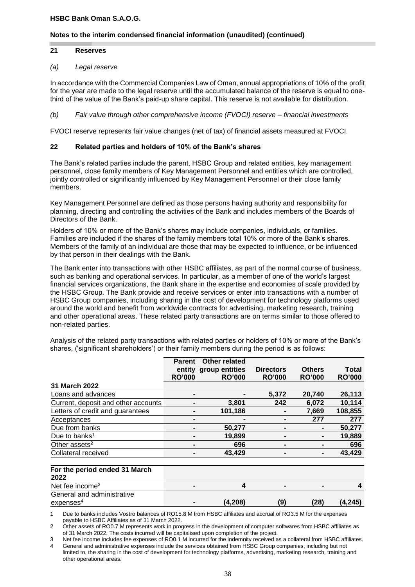#### **Notes to the interim condensed financial information (unaudited) (continued)**

#### **21 Reserves**

#### *(a) Legal reserve*

In accordance with the Commercial Companies Law of Oman, annual appropriations of 10% of the profit for the year are made to the legal reserve until the accumulated balance of the reserve is equal to onethird of the value of the Bank's paid-up share capital. This reserve is not available for distribution.

*(b) Fair value through other comprehensive income (FVOCI) reserve – financial investments*

FVOCI reserve represents fair value changes (net of tax) of financial assets measured at FVOCI.

#### **22 Related parties and holders of 10% of the Bank's shares**

The Bank's related parties include the parent, HSBC Group and related entities, key management personnel, close family members of Key Management Personnel and entities which are controlled, jointly controlled or significantly influenced by Key Management Personnel or their close family members.

Key Management Personnel are defined as those persons having authority and responsibility for planning, directing and controlling the activities of the Bank and includes members of the Boards of Directors of the Bank.

Holders of 10% or more of the Bank's shares may include companies, individuals, or families. Families are included if the shares of the family members total 10% or more of the Bank's shares. Members of the family of an individual are those that may be expected to influence, or be influenced by that person in their dealings with the Bank.

The Bank enter into transactions with other HSBC affiliates, as part of the normal course of business, such as banking and operational services. In particular, as a member of one of the world's largest financial services organizations, the Bank share in the expertise and economies of scale provided by the HSBC Group. The Bank provide and receive services or enter into transactions with a number of HSBC Group companies, including sharing in the cost of development for technology platforms used around the world and benefit from worldwide contracts for advertising, marketing research, training and other operational areas. These related party transactions are on terms similar to those offered to non-related parties.

Analysis of the related party transactions with related parties or holders of 10% or more of the Bank's shares, ('significant shareholders') or their family members during the period is as follows:

|                                       | <b>Parent</b> | Other related         |                  |               |               |
|---------------------------------------|---------------|-----------------------|------------------|---------------|---------------|
|                                       |               | entity group entities | <b>Directors</b> | <b>Others</b> | <b>Total</b>  |
|                                       | <b>RO'000</b> | <b>RO'000</b>         | <b>RO'000</b>    | <b>RO'000</b> | <b>RO'000</b> |
| 31 March 2022                         |               |                       |                  |               |               |
| Loans and advances                    |               |                       | 5,372            | 20,740        | 26,113        |
| Current, deposit and other accounts   |               | 3,801                 | 242              | 6,072         | 10,114        |
| Letters of credit and guarantees      |               | 101,186               |                  | 7,669         | 108,855       |
| Acceptances                           |               |                       |                  | 277           | 277           |
| Due from banks                        |               | 50,277                |                  |               | 50,277        |
| Due to banks <sup>1</sup>             |               | 19,899                |                  |               | 19,889        |
| Other assets <sup>2</sup>             |               | 696                   |                  |               | 696           |
| Collateral received                   |               | 43,429                |                  |               | 43,429        |
| For the period ended 31 March<br>2022 |               |                       |                  |               |               |
| Net fee income <sup>3</sup>           |               | 4                     |                  |               | 4             |
| General and administrative            |               |                       |                  |               |               |

expenses<sup>4</sup>

1 Due to banks includes Vostro balances of RO15.8 M from HSBC affiliates and accrual of RO3.5 M for the expenses payable to HSBC Affiliates as of 31 March 2022.

2 Other assets of RO0.7 M represents work in progress in the development of computer softwares from HSBC affiliates as of 31 March 2022. The costs incurred will be capitalised upon completion of the project.

3 Net fee income includes fee expenses of RO0.1 M incurred for the indemnity received as a collateral from HSBC affiliates.

4 General and administrative expenses include the services obtained from HSBC Group companies, including but not limited to, the sharing in the cost of development for technology platforms, advertising, marketing research, training and other operational areas.

**- (4,208) (9) (28) (4,245)**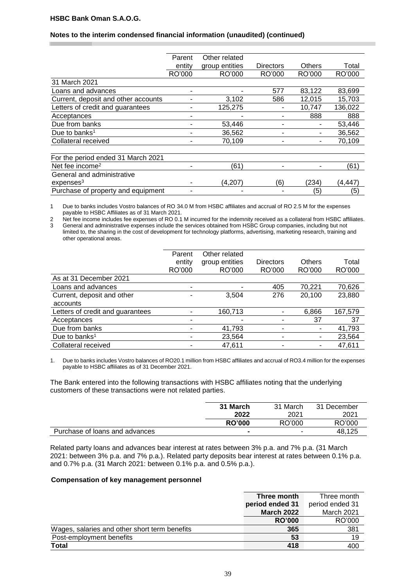## **Notes to the interim condensed financial information (unaudited) (continued)**

|                                     | Parent | Other related  |           |        |         |
|-------------------------------------|--------|----------------|-----------|--------|---------|
|                                     | entity | group entities | Directors | Others | Total   |
|                                     | RO'000 | RO'000         | RO'000    | RO'000 | RO'000  |
| 31 March 2021                       |        |                |           |        |         |
| Loans and advances                  |        |                | 577       | 83,122 | 83,699  |
| Current, deposit and other accounts |        | 3,102          | 586       | 12,015 | 15,703  |
| Letters of credit and guarantees    |        | 125,275        |           | 10,747 | 136,022 |
| Acceptances                         |        |                |           | 888    | 888     |
| Due from banks                      | -      | 53,446         |           |        | 53,446  |
| Due to banks <sup>1</sup>           |        | 36,562         |           |        | 36,562  |
| Collateral received                 |        | 70,109         |           |        | 70,109  |
|                                     |        |                |           |        |         |
| For the period ended 31 March 2021  |        |                |           |        |         |
| Net fee income <sup>2</sup>         |        | (61)           |           |        | (61)    |
| General and administrative          |        |                |           |        |         |
| expenses <sup>3</sup>               |        | (4.207)        | (6)       | (234)  | (4,447) |
| Purchase of property and equipment  |        |                |           | (5)    | (5)     |

1 Due to banks includes Vostro balances of RO 34.0 M from HSBC affiliates and accrual of RO 2.5 M for the expenses payable to HSBC Affiliates as of 31 March 2021.

2 Net fee income includes fee expenses of RO 0.1 M incurred for the indemnity received as a collateral from HSBC affiliates. 3 General and administrative expenses include the services obtained from HSBC Group companies, including but not limited to, the sharing in the cost of development for technology platforms, advertising, marketing research, training and other operational areas.

|                                  | Parent<br>entity<br>RO'000 | Other related<br>group entities<br>RO'000 | <b>Directors</b><br>RO'000 | <b>Others</b><br>RO'000 | Total<br>RO'000 |
|----------------------------------|----------------------------|-------------------------------------------|----------------------------|-------------------------|-----------------|
| As at 31 December 2021           |                            |                                           |                            |                         |                 |
| Loans and advances               | ۰                          |                                           | 405                        | 70,221                  | 70,626          |
| Current, deposit and other       |                            | 3,504                                     | 276                        | 20,100                  | 23,880          |
| accounts                         |                            |                                           |                            |                         |                 |
| Letters of credit and guarantees |                            | 160,713                                   |                            | 6,866                   | 167,579         |
| Acceptances                      |                            |                                           |                            | 37                      | 37              |
| Due from banks                   |                            | 41,793                                    |                            | ٠                       | 41,793          |
| Due to banks <sup>1</sup>        |                            | 23,564                                    | ۰                          | ٠                       | 23,564          |
| Collateral received              |                            | 47,611                                    | -                          | ۰.                      | 47,611          |

1. Due to banks includes Vostro balances of RO20.1 million from HSBC affiliates and accrual of RO3.4 million for the expenses payable to HSBC affiliates as of 31 December 2021.

The Bank entered into the following transactions with HSBC affiliates noting that the underlying customers of these transactions were not related parties.

| 31 March      | 31 March | 31 December |
|---------------|----------|-------------|
| 2022          | 2021     | 2021        |
| <b>RO'000</b> | RO'000   | RO'000      |
| -             | ۰        | 48.125      |
|               |          |             |

Related party loans and advances bear interest at rates between 3% p.a. and 7% p.a. (31 March 2021: between 3% p.a. and 7% p.a.). Related party deposits bear interest at rates between 0.1% p.a. and 0.7% p.a. (31 March 2021: between 0.1% p.a. and 0.5% p.a.).

#### **Compensation of key management personnel**

|                                               | Three month       | Three month     |
|-----------------------------------------------|-------------------|-----------------|
|                                               | period ended 31   | period ended 31 |
|                                               | <b>March 2022</b> | March 2021      |
|                                               | <b>RO'000</b>     | RO'000          |
| Wages, salaries and other short term benefits | 365               | 381             |
| Post-employment benefits                      | 53                | 19              |
| Total                                         | 418               | 400             |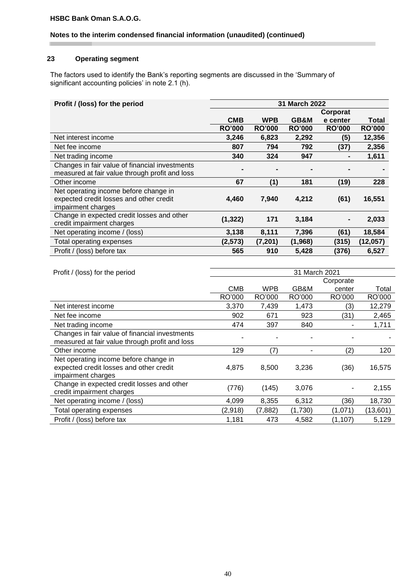# **Notes to the interim condensed financial information (unaudited) (continued)**

# **23 Operating segment**

The factors used to identify the Bank's reporting segments are discussed in the 'Summary of significant accounting policies' in note 2.1 (h).

| Profit / (loss) for the period                 | 31 March 2022 |               |               |               |               |
|------------------------------------------------|---------------|---------------|---------------|---------------|---------------|
|                                                |               |               |               | Corporat      |               |
|                                                | <b>CMB</b>    | <b>WPB</b>    | GB&M          | e center      | Total         |
|                                                | <b>RO'000</b> | <b>RO'000</b> | <b>RO'000</b> | <b>RO'000</b> | <b>RO'000</b> |
| Net interest income                            | 3,246         | 6,823         | 2,292         | (5)           | 12,356        |
| Net fee income                                 | 807           | 794           | 792           | (37)          | 2,356         |
| Net trading income                             | 340           | 324           | 947           |               | 1,611         |
| Changes in fair value of financial investments |               |               |               |               |               |
| measured at fair value through profit and loss |               |               |               |               |               |
| Other income                                   | 67            | (1)           | 181           | (19)          | 228           |
| Net operating income before change in          |               |               |               |               |               |
| expected credit losses and other credit        | 4,460         | 7,940         | 4,212         | (61)          | 16,551        |
| impairment charges                             |               |               |               |               |               |
| Change in expected credit losses and other     | (1, 322)      | 171           | 3,184         |               | 2,033         |
| credit impairment charges                      |               |               |               |               |               |
| Net operating income / (loss)                  | 3,138         | 8,111         | 7,396         | (61)          | 18,584        |
| Total operating expenses                       | (2, 573)      | (7, 201)      | (1,968)       | (315)         | (12,057)      |
| Profit / (loss) before tax                     | 565           | 910           | 5,428         | (376)         | 6,527         |

| Profit / (loss) for the period                 | 31 March 2021 |            |         |           |          |
|------------------------------------------------|---------------|------------|---------|-----------|----------|
|                                                |               |            |         | Corporate |          |
|                                                | <b>CMB</b>    | <b>WPB</b> | GB&M    | center    | Total    |
|                                                | RO'000        | RO'000     | RO'000  | RO'000    | RO'000   |
| Net interest income                            | 3,370         | 7,439      | 1,473   | (3)       | 12,279   |
| Net fee income                                 | 902           | 671        | 923     | (31)      | 2,465    |
| Net trading income                             | 474           | 397        | 840     |           | 1,711    |
| Changes in fair value of financial investments |               |            |         |           |          |
| measured at fair value through profit and loss |               |            |         |           |          |
| Other income                                   | 129           | (7)        |         | (2)       | 120      |
| Net operating income before change in          |               |            |         |           |          |
| expected credit losses and other credit        | 4,875         | 8,500      | 3,236   | (36)      | 16,575   |
| impairment charges                             |               |            |         |           |          |
| Change in expected credit losses and other     | (776)         | (145)      | 3,076   | ٠         | 2,155    |
| credit impairment charges                      |               |            |         |           |          |
| Net operating income / (loss)                  | 4,099         | 8,355      | 6,312   | (36)      | 18,730   |
| Total operating expenses                       | (2,918)       | (7,882)    | (1,730) | (1,071)   | (13,601) |
| Profit / (loss) before tax                     | 1,181         | 473        | 4,582   | (1, 107)  | 5,129    |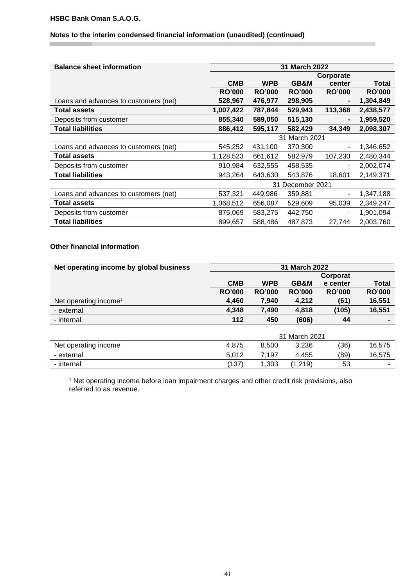п

# **Notes to the interim condensed financial information (unaudited) (continued)**

| <b>Balance sheet information</b>      | 31 March 2022 |               |                  |               |               |  |
|---------------------------------------|---------------|---------------|------------------|---------------|---------------|--|
|                                       |               |               |                  | Corporate     |               |  |
|                                       | <b>CMB</b>    | <b>WPB</b>    | GB&M             | center        | <b>Total</b>  |  |
|                                       | <b>RO'000</b> | <b>RO'000</b> | <b>RO'000</b>    | <b>RO'000</b> | <b>RO'000</b> |  |
| Loans and advances to customers (net) | 528,967       | 476,977       | 298,905          |               | 1,304,849     |  |
| Total assets                          | 1,007,422     | 787,844       | 529,943          | 113,368       | 2,438,577     |  |
| Deposits from customer                | 855,340       | 589,050       | 515,130          |               | 1,959,520     |  |
| <b>Total liabilities</b>              | 886,412       | 595,117       | 582,429          | 34,349        | 2,098,307     |  |
|                                       | 31 March 2021 |               |                  |               |               |  |
| Loans and advances to customers (net) | 545,252       | 431,100       | 370,300          |               | 1,346,652     |  |
| Total assets                          | 1,128,523     | 661,612       | 582,979          | 107,230       | 2,480,344     |  |
| Deposits from customer                | 910,984       | 632,555       | 458,535          |               | 2,002,074     |  |
| <b>Total liabilities</b>              | 943,264       | 643,630       | 543,876          | 18,601        | 2,149,371     |  |
|                                       |               |               | 31 December 2021 |               |               |  |
| Loans and advances to customers (net) | 537,321       | 449,986       | 359,881          |               | 1,347,188     |  |
| Total assets                          | 1,068,512     | 656,087       | 529,609          | 95,039        | 2,349,247     |  |
| Deposits from customer                | 875,069       | 583,275       | 442,750          | ٠             | 1,901,094     |  |
| <b>Total liabilities</b>              | 899,657       | 588,486       | 487,873          | 27,744        | 2,003,760     |  |

#### **Other financial information**

| Net operating income by global business         | 31 March 2022               |                      |               |               |                               |
|-------------------------------------------------|-----------------------------|----------------------|---------------|---------------|-------------------------------|
|                                                 |                             |                      |               | Corporat      |                               |
|                                                 | <b>CMB</b>                  | <b>WPB</b>           | GB&M          | e center      | Total                         |
|                                                 | <b>RO'000</b>               | <b>RO'000</b>        | <b>RO'000</b> | <b>RO'000</b> | <b>RO'000</b>                 |
| Net operating income <sup>1</sup>               | 4,460                       | 7,940                | 4,212         | (61)          | 16,551                        |
| - external                                      | 4,348                       | 7,490                | 4,818         | (105)         | 16,551                        |
| - internal                                      | 112                         | 450                  | (606)         | 44            | $\blacksquare$                |
|                                                 |                             |                      |               |               |                               |
|                                                 |                             |                      | 31 March 2021 |               |                               |
| <b>All car concerned to a strategic control</b> | $\sim$ $\sim$ $\sim$ $\sim$ | $\sim$ $\sim$ $\sim$ | 0.000         | $\sqrt{2}$    | $\lambda$ $\sim$ $\mu$ $\sim$ |

| Net operating income | 4.875 | 8.500 | 3.236 | (36) | 16.575                   |
|----------------------|-------|-------|-------|------|--------------------------|
| - external           | 5,012 | 7,197 | .455  | (89) | 16.575                   |
| - internal           | 137   | ,303  | ,219) | 53   | $\overline{\phantom{a}}$ |

<sup>1</sup> Net operating income before loan impairment charges and other credit risk provisions, also referred to as revenue.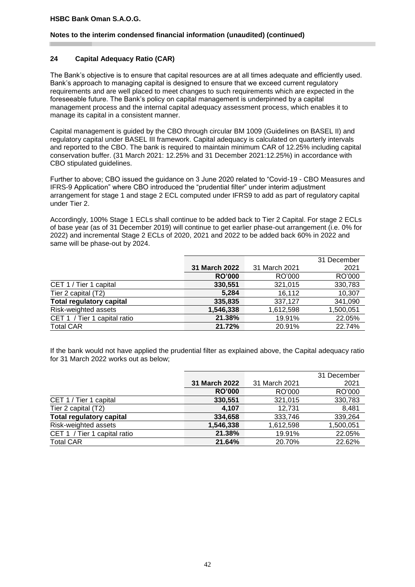#### **Notes to the interim condensed financial information (unaudited) (continued)**

# **24 Capital Adequacy Ratio (CAR)**

The Bank's objective is to ensure that capital resources are at all times adequate and efficiently used. Bank's approach to managing capital is designed to ensure that we exceed current regulatory requirements and are well placed to meet changes to such requirements which are expected in the foreseeable future. The Bank's policy on capital management is underpinned by a capital management process and the internal capital adequacy assessment process, which enables it to manage its capital in a consistent manner.

Capital management is guided by the CBO through circular BM 1009 (Guidelines on BASEL II) and regulatory capital under BASEL III framework. Capital adequacy is calculated on quarterly intervals and reported to the CBO. The bank is required to maintain minimum CAR of 12.25% including capital conservation buffer. (31 March 2021: 12.25% and 31 December 2021:12.25%) in accordance with CBO stipulated guidelines.

Further to above; CBO issued the guidance on 3 June 2020 related to "Covid-19 - CBO Measures and IFRS-9 Application" where CBO introduced the "prudential filter" under interim adjustment arrangement for stage 1 and stage 2 ECL computed under IFRS9 to add as part of regulatory capital under Tier 2.

Accordingly, 100% Stage 1 ECLs shall continue to be added back to Tier 2 Capital. For stage 2 ECLs of base year (as of 31 December 2019) will continue to get earlier phase-out arrangement (i.e. 0% for 2022) and incremental Stage 2 ECLs of 2020, 2021 and 2022 to be added back 60% in 2022 and same will be phase-out by 2024.

|                                 |               |               | 31 December |
|---------------------------------|---------------|---------------|-------------|
|                                 | 31 March 2022 | 31 March 2021 | 2021        |
|                                 | <b>RO'000</b> | RO'000        | RO'000      |
| CET 1 / Tier 1 capital          | 330,551       | 321,015       | 330,783     |
| Tier 2 capital (T2)             | 5,284         | 16,112        | 10,307      |
| <b>Total regulatory capital</b> | 335,835       | 337,127       | 341,090     |
| Risk-weighted assets            | 1,546,338     | 1,612,598     | 1,500,051   |
| CET 1 / Tier 1 capital ratio    | 21.38%        | 19.91%        | 22.05%      |
| <b>Total CAR</b>                | 21.72%        | 20.91%        | 22.74%      |
|                                 |               |               |             |

If the bank would not have applied the prudential filter as explained above, the Capital adequacy ratio for 31 March 2022 works out as below;

|                                 |               |               | 31 December |
|---------------------------------|---------------|---------------|-------------|
|                                 | 31 March 2022 | 31 March 2021 | 2021        |
|                                 | <b>RO'000</b> | RO'000        | RO'000      |
| CET 1 / Tier 1 capital          | 330,551       | 321,015       | 330,783     |
| Tier 2 capital (T2)             | 4.107         | 12,731        | 8,481       |
| <b>Total regulatory capital</b> | 334,658       | 333,746       | 339,264     |
| Risk-weighted assets            | 1,546,338     | 1,612,598     | 1,500,051   |
| CET 1 / Tier 1 capital ratio    | 21.38%        | 19.91%        | 22.05%      |
| <b>Total CAR</b>                | 21.64%        | 20.70%        | 22.62%      |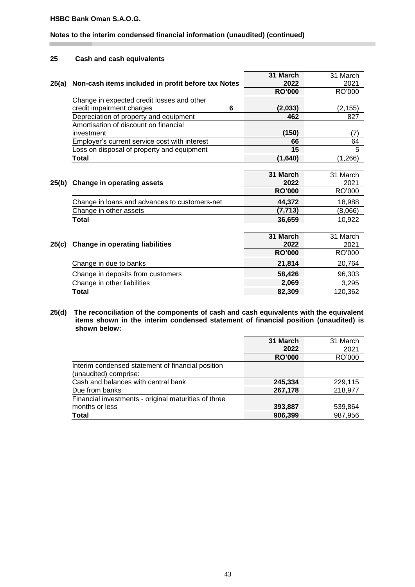# **Notes to the interim condensed financial information (unaudited) (continued)**

#### **25 Cash and cash equivalents**

|       |                                                    | 31 March      | 31 March |
|-------|----------------------------------------------------|---------------|----------|
| 25(a) | Non-cash items included in profit before tax Notes | 2022          | 2021     |
|       |                                                    | <b>RO'000</b> | RO'000   |
|       | Change in expected credit losses and other         |               |          |
|       | credit impairment charges<br>6                     | (2,033)       | (2, 155) |
|       | Depreciation of property and equipment             | 462           | 827      |
|       | Amortisation of discount on financial              |               |          |
|       | investment                                         | (150)         | (7)      |
|       | Employer's current service cost with interest      | 66            | 64       |
|       | Loss on disposal of property and equipment         | 15            | 5        |
|       | <b>Total</b>                                       | (1,640)       | (1, 266) |
|       |                                                    |               |          |
|       |                                                    | 31 March      | 31 March |
| 25(b) | <b>Change in operating assets</b>                  | 2022          | 2021     |
|       |                                                    | <b>RO'000</b> | RO'000   |
|       | Change in loans and advances to customers-net      | 44,372        | 18,988   |
|       | Change in other assets                             | (7, 713)      | (8,066)  |
|       | <b>Total</b>                                       | 36,659        | 10,922   |
|       |                                                    |               |          |
|       |                                                    | 31 March      | 31 March |
| 25(c) | <b>Change in operating liabilities</b>             | 2022          | 2021     |
|       |                                                    | <b>RO'000</b> | RO'000   |
|       | Change in due to banks                             | 21,814        | 20,764   |
|       | Change in deposits from customers                  | 58,426        | 96,303   |
|       | Change in other liabilities                        | 2,069         | 3,295    |
|       | Total                                              | 82,309        | 120,362  |

#### **25(d) The reconciliation of the components of cash and cash equivalents with the equivalent items shown in the interim condensed statement of financial position (unaudited) is shown below:**

|                                                      | 31 March      | 31 March |
|------------------------------------------------------|---------------|----------|
|                                                      | 2022          | 2021     |
|                                                      | <b>RO'000</b> | RO'000   |
| Interim condensed statement of financial position    |               |          |
| (unaudited) comprise:                                |               |          |
| Cash and balances with central bank                  | 245,334       | 229,115  |
| Due from banks                                       | 267,178       | 218,977  |
| Financial investments - original maturities of three |               |          |
| months or less                                       | 393,887       | 539,864  |
| <b>Total</b>                                         | 906,399       | 987,956  |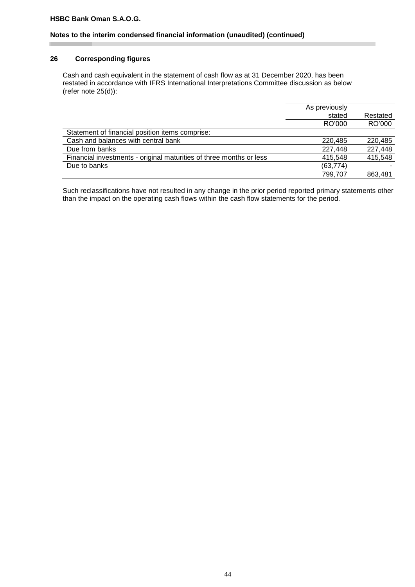#### **Notes to the interim condensed financial information (unaudited) (continued)**

#### **26 Corresponding figures**

Cash and cash equivalent in the statement of cash flow as at 31 December 2020, has been restated in accordance with IFRS International Interpretations Committee discussion as below (refer note 25(d)):

|                                                                     | As previously |          |
|---------------------------------------------------------------------|---------------|----------|
|                                                                     | stated        | Restated |
|                                                                     | RO'000        | RO'000   |
| Statement of financial position items comprise:                     |               |          |
| Cash and balances with central bank                                 | 220.485       | 220,485  |
| Due from banks                                                      | 227.448       | 227,448  |
| Financial investments - original maturities of three months or less | 415.548       | 415,548  |
| Due to banks                                                        | (63, 774)     |          |
|                                                                     | 799.707       | 863.481  |

Such reclassifications have not resulted in any change in the prior period reported primary statements other than the impact on the operating cash flows within the cash flow statements for the period.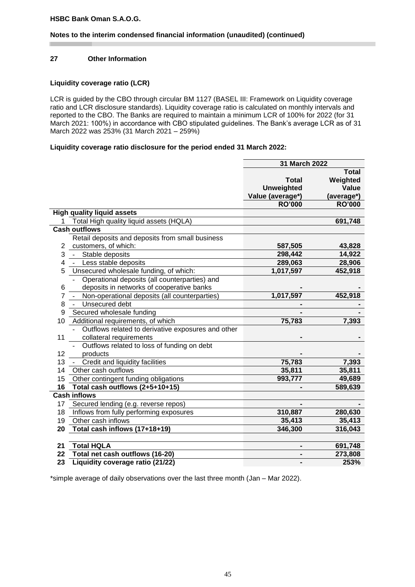# **Notes to the interim condensed financial information (unaudited) (continued)**

# **27 Other Information**

# **Liquidity coverage ratio (LCR)**

LCR is guided by the CBO through circular BM 1127 (BASEL III: Framework on Liquidity coverage ratio and LCR disclosure standards). Liquidity coverage ratio is calculated on monthly intervals and reported to the CBO. The Banks are required to maintain a minimum LCR of 100% for 2022 (for 31 March 2021: 100%) in accordance with CBO stipulated guidelines. The Bank's average LCR as of 31 March 2022 was 253% (31 March 2021 – 259%)

#### **Liquidity coverage ratio disclosure for the period ended 31 March 2022:**

|    |                                                    | 31 March 2022     |               |
|----|----------------------------------------------------|-------------------|---------------|
|    |                                                    |                   | <b>Total</b>  |
|    |                                                    | <b>Total</b>      | Weighted      |
|    |                                                    | <b>Unweighted</b> | Value         |
|    |                                                    | Value (average*)  | (average*)    |
|    |                                                    | <b>RO'000</b>     | <b>RO'000</b> |
|    | <b>High quality liquid assets</b>                  |                   |               |
|    | Total High quality liquid assets (HQLA)            |                   | 691,748       |
|    | <b>Cash outflows</b>                               |                   |               |
|    | Retail deposits and deposits from small business   |                   |               |
| 2  | customers, of which:                               | 587,505           | 43,828        |
| 3  | Stable deposits<br>$\omega_{\rm{max}}$             | 298,442           | 14,922        |
| 4  | Less stable deposits<br>$\sim 100$                 | 289,063           | 28,906        |
| 5  | Unsecured wholesale funding, of which:             | 1,017,597         | 452,918       |
|    | Operational deposits (all counterparties) and      |                   |               |
| 6  | deposits in networks of cooperative banks          |                   |               |
| 7  | Non-operational deposits (all counterparties)      | 1,017,597         | 452,918       |
| 8  | Unsecured debt<br>$\omega_{\rm{max}}$              |                   |               |
| 9  | Secured wholesale funding                          |                   |               |
| 10 | Additional requirements, of which                  | 75,783            | 7,393         |
|    | Outflows related to derivative exposures and other |                   |               |
| 11 | collateral requirements                            |                   |               |
|    | Outflows related to loss of funding on debt        |                   |               |
| 12 | products                                           |                   |               |
| 13 | Credit and liquidity facilities                    | 75,783            | 7,393         |
| 14 | Other cash outflows                                | 35,811            | 35,811        |
| 15 | Other contingent funding obligations               | 993,777           | 49,689        |
| 16 | Total cash outflows (2+5+10+15)                    |                   | 589,639       |
|    | <b>Cash inflows</b>                                |                   |               |
| 17 | Secured lending (e.g. reverse repos)               |                   |               |
| 18 | Inflows from fully performing exposures            | 310,887           | 280,630       |
| 19 | Other cash inflows                                 | 35,413            | 35,413        |
| 20 | Total cash inflows (17+18+19)                      | 346,300           | 316,043       |
|    |                                                    |                   |               |
| 21 | <b>Total HQLA</b>                                  |                   | 691,748       |
| 22 | Total net cash outflows (16-20)                    |                   | 273,808       |
| 23 | Liquidity coverage ratio (21/22)                   |                   | 253%          |

\*simple average of daily observations over the last three month (Jan – Mar 2022).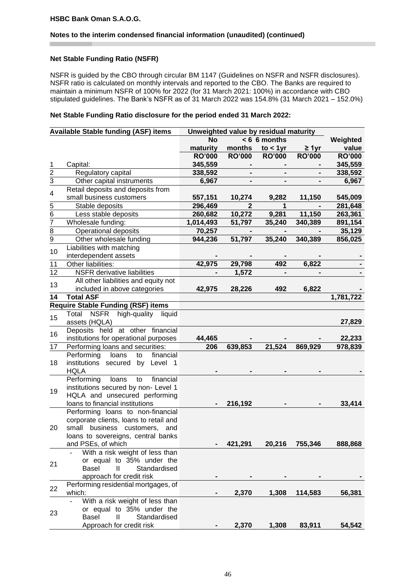#### **Notes to the interim condensed financial information (unaudited) (continued)**

#### **Net Stable Funding Ratio (NSFR)**

NSFR is guided by the CBO through circular BM 1147 (Guidelines on NSFR and NSFR disclosures). NSFR ratio is calculated on monthly intervals and reported to the CBO. The Banks are required to maintain a minimum NSFR of 100% for 2022 (for 31 March 2021: 100%) in accordance with CBO stipulated guidelines. The Bank's NSFR as of 31 March 2022 was 154.8% (31 March 2021 – 152.0%)

#### **Net Stable Funding Ratio disclosure for the period ended 31 March 2022:**

|                | <b>Available Stable funding (ASF) items</b>       | Unweighted value by residual maturity |               |                |                |               |
|----------------|---------------------------------------------------|---------------------------------------|---------------|----------------|----------------|---------------|
|                |                                                   | <b>No</b>                             |               | $< 6$ 6 months |                | Weighted      |
|                |                                                   | maturity                              | months        | $to < 1$ yr    | $\geq 1$ yr    | value         |
|                |                                                   | <b>RO'000</b>                         | <b>RO'000</b> | <b>RO'000</b>  | <b>RO'000</b>  | <b>RO'000</b> |
| 1              | Capital:                                          | 345,559                               |               |                |                | 345,559       |
| $\overline{2}$ | Regulatory capital                                | 338,592                               |               |                |                | 338,592       |
| $\overline{3}$ | Other capital instruments                         | 6,967                                 |               |                |                | 6,967         |
|                | Retail deposits and deposits from                 |                                       |               |                |                |               |
| 4              | small business customers                          | 557,151                               | 10,274        | 9,282          | 11,150         | 545,009       |
| $\overline{5}$ | Stable deposits                                   | 296,469                               | $\mathbf{2}$  | 1              | $\blacksquare$ | 281,648       |
|                | Less stable deposits                              | 260,682                               | 10,272        | 9,281          | 11,150         | 263,361       |
| $\frac{6}{7}$  | Wholesale funding:                                | 1,014,493                             | 51,797        | 35,240         | 340,389        | 891,154       |
| $\frac{8}{5}$  | Operational deposits                              | 70,257                                |               | -              |                | 35,129        |
| $\overline{9}$ | Other wholesale funding                           | 944,236                               | 51,797        | 35,240         | 340,389        | 856,025       |
|                | Liabilities with matching                         |                                       |               |                |                |               |
| 10             | interdependent assets                             |                                       |               |                |                |               |
| 11             | Other liabilities:                                | 42,975                                | 29,798        | 492            | 6,822          |               |
| 12             | NSFR derivative liabilities                       |                                       | 1,572         |                |                |               |
|                | All other liabilities and equity not              |                                       |               |                |                |               |
| 13             | included in above categories                      | 42,975                                | 28,226        | 492            | 6,822          |               |
| 14             | <b>Total ASF</b>                                  |                                       |               |                |                | 1,781,722     |
|                | <b>Require Stable Funding (RSF) items</b>         |                                       |               |                |                |               |
|                | <b>NSFR</b><br>high-quality<br>Total<br>liquid    |                                       |               |                |                |               |
| 15             | assets (HQLA)                                     |                                       |               |                |                | 27,829        |
|                | Deposits held at other financial                  |                                       |               |                |                |               |
| 16             | institutions for operational purposes             | 44,465                                |               |                |                | 22,233        |
| 17             | Performing loans and securities:                  | 206                                   | 639,853       | 21,524         | 869,929        | 978,839       |
|                | financial<br>Performing<br>loans<br>to            |                                       |               |                |                |               |
| 18             | Level 1<br>institutions secured<br>by             |                                       |               |                |                |               |
|                | <b>HQLA</b>                                       |                                       |               |                |                |               |
|                | Performing<br>financial<br>loans<br>to            |                                       |               |                |                |               |
| 19             | institutions secured by non- Level 1              |                                       |               |                |                |               |
|                | HQLA and unsecured performing                     |                                       |               |                |                |               |
|                | loans to financial institutions                   |                                       | 216,192       |                |                | 33,414        |
|                | Performing loans to non-financial                 |                                       |               |                |                |               |
|                | corporate clients, loans to retail and            |                                       |               |                |                |               |
| 20             | business customers, and<br>small                  |                                       |               |                |                |               |
|                | loans to sovereigns, central banks                |                                       |               |                |                |               |
|                | and PSEs, of which                                |                                       | 421,291       | 20,216         | 755,346        | 888,868       |
|                | With a risk weight of less than                   |                                       |               |                |                |               |
| 21             | or equal to 35% under the                         |                                       |               |                |                |               |
|                | Basel<br>Ш<br>Standardised                        |                                       |               |                |                |               |
|                | approach for credit risk                          |                                       |               |                |                |               |
| 22             | Performing residential mortgages, of              |                                       |               |                |                |               |
|                | which:                                            |                                       | 2,370         | 1,308          | 114,583        | 56,381        |
|                | With a risk weight of less than<br>$\overline{a}$ |                                       |               |                |                |               |
| 23             | or equal to 35% under the                         |                                       |               |                |                |               |
|                | Standardised<br>Basel<br>$\mathbf{  }$            |                                       |               |                |                |               |
|                | Approach for credit risk                          |                                       | 2,370         | 1,308          | 83,911         | 54,542        |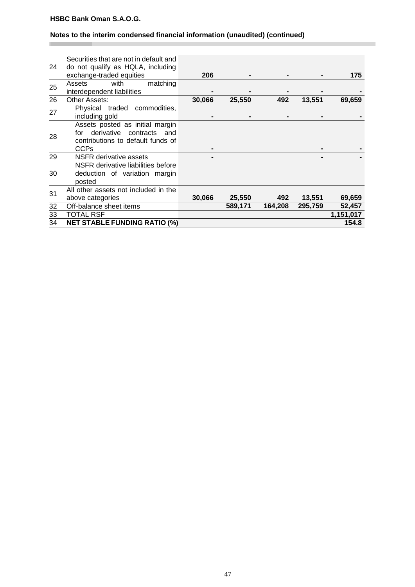п

# **Notes to the interim condensed financial information (unaudited) (continued)**

| 24 | Securities that are not in default and<br>do not qualify as HQLA, including<br>exchange-traded equities                      | 206    |         |         |         | 175       |
|----|------------------------------------------------------------------------------------------------------------------------------|--------|---------|---------|---------|-----------|
| 25 | with<br>matching<br>Assets<br>interdependent liabilities                                                                     |        |         |         |         |           |
| 26 | Other Assets:                                                                                                                | 30,066 | 25,550  | 492     | 13,551  | 69,659    |
| 27 | Physical traded<br>commodities,<br>including gold                                                                            |        |         |         |         |           |
| 28 | Assets posted as initial margin<br>derivative<br>contracts<br>and<br>for<br>contributions to default funds of<br><b>CCPs</b> |        |         |         |         |           |
| 29 | NSFR derivative assets                                                                                                       |        |         |         |         |           |
| 30 | NSFR derivative liabilities before<br>deduction of variation margin<br>posted                                                |        |         |         |         |           |
| 31 | All other assets not included in the<br>above categories                                                                     | 30,066 | 25,550  | 492     | 13,551  | 69,659    |
| 32 | Off-balance sheet items                                                                                                      |        | 589,171 | 164,208 | 295,759 | 52,457    |
| 33 | <b>TOTAL RSF</b>                                                                                                             |        |         |         |         | 1,151,017 |
| 34 | <b>NET STABLE FUNDING RATIO (%)</b>                                                                                          |        |         |         |         | 154.8     |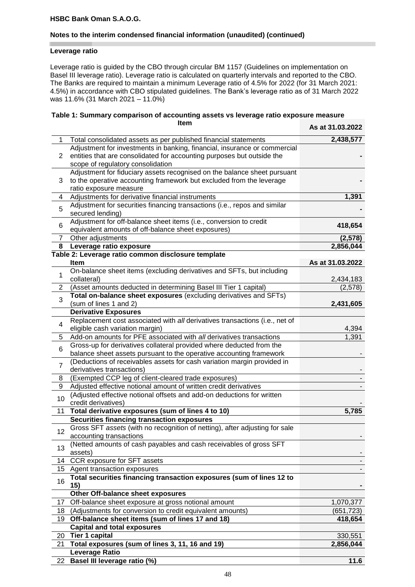# **Notes to the interim condensed financial information (unaudited) (continued)**

#### **Leverage ratio**

Leverage ratio is guided by the CBO through circular BM 1157 (Guidelines on implementation on Basel III leverage ratio). Leverage ratio is calculated on quarterly intervals and reported to the CBO. The Banks are required to maintain a minimum Leverage ratio of 4.5% for 2022 (for 31 March 2021: 4.5%) in accordance with CBO stipulated guidelines. The Bank's leverage ratio as of 31 March 2022 was 11.6% (31 March 2021 – 11.0%)

# **Table 1: Summary comparison of accounting assets vs leverage ratio exposure measure Item As at 31.03.2022**

|                |                                                                             | AS di 31.03.2022 |
|----------------|-----------------------------------------------------------------------------|------------------|
| 1              | Total consolidated assets as per published financial statements             | 2,438,577        |
|                | Adjustment for investments in banking, financial, insurance or commercial   |                  |
| 2              | entities that are consolidated for accounting purposes but outside the      |                  |
|                | scope of regulatory consolidation                                           |                  |
|                | Adjustment for fiduciary assets recognised on the balance sheet pursuant    |                  |
| 3              | to the operative accounting framework but excluded from the leverage        |                  |
|                | ratio exposure measure                                                      |                  |
| 4              | Adjustments for derivative financial instruments                            | 1,391            |
|                | Adjustment for securities financing transactions (i.e., repos and similar   |                  |
| 5              | secured lending)                                                            |                  |
|                | Adjustment for off-balance sheet items (i.e., conversion to credit          |                  |
| 6              | equivalent amounts of off-balance sheet exposures)                          | 418,654          |
| $\overline{7}$ | Other adjustments                                                           | (2,578)          |
| 8              | Leverage ratio exposure                                                     | 2,856,044        |
|                | Table 2: Leverage ratio common disclosure template                          |                  |
|                | Item                                                                        | As at 31.03.2022 |
|                | On-balance sheet items (excluding derivatives and SFTs, but including       |                  |
| 1              | collateral)                                                                 | 2,434,183        |
| 2              | (Asset amounts deducted in determining Basel III Tier 1 capital)            | (2,578)          |
|                | Total on-balance sheet exposures (excluding derivatives and SFTs)           |                  |
| 3              | (sum of lines 1 and 2)                                                      | 2,431,605        |
|                | <b>Derivative Exposures</b>                                                 |                  |
|                | Replacement cost associated with all derivatives transactions (i.e., net of |                  |
| 4              | eligible cash variation margin)                                             | 4,394            |
| 5              | Add-on amounts for PFE associated with all derivatives transactions         | 1,391            |
|                | Gross-up for derivatives collateral provided where deducted from the        |                  |
| 6              | balance sheet assets pursuant to the operative accounting framework         |                  |
|                | (Deductions of receivables assets for cash variation margin provided in     |                  |
| $\overline{7}$ | derivatives transactions)                                                   |                  |
| 8              | (Exempted CCP leg of client-cleared trade exposures)                        |                  |
| 9              | Adjusted effective notional amount of written credit derivatives            |                  |
|                | (Adjusted effective notional offsets and add-on deductions for written      |                  |
| 10             | credit derivatives)                                                         |                  |
| 11             | Total derivative exposures (sum of lines 4 to 10)                           | 5,785            |
|                | Securities financing transaction exposures                                  |                  |
|                | Gross SFT assets (with no recognition of netting), after adjusting for sale |                  |
| 12             | accounting transactions                                                     |                  |
| 13             | (Netted amounts of cash payables and cash receivables of gross SFT          |                  |
|                | assets)                                                                     |                  |
| 14             | <b>CCR</b> exposure for SFT assets                                          |                  |
|                | 15 Agent transaction exposures                                              |                  |
|                | Total securities financing transaction exposures (sum of lines 12 to        |                  |
| 16             | 15)                                                                         |                  |
|                | Other Off-balance sheet exposures                                           |                  |
| 17             | Off-balance sheet exposure at gross notional amount                         | 1,070,377        |
|                | 18 (Adjustments for conversion to credit equivalent amounts)                | (651, 723)       |
|                | 19 Off-balance sheet items (sum of lines 17 and 18)                         | 418,654          |
|                | <b>Capital and total exposures</b>                                          |                  |
|                | 20 Tier 1 capital                                                           | 330,551          |
| 21             | Total exposures (sum of lines 3, 11, 16 and 19)                             | 2,856,044        |
|                | <b>Leverage Ratio</b>                                                       |                  |
|                | 22 Basel III leverage ratio (%)                                             | 11.6             |